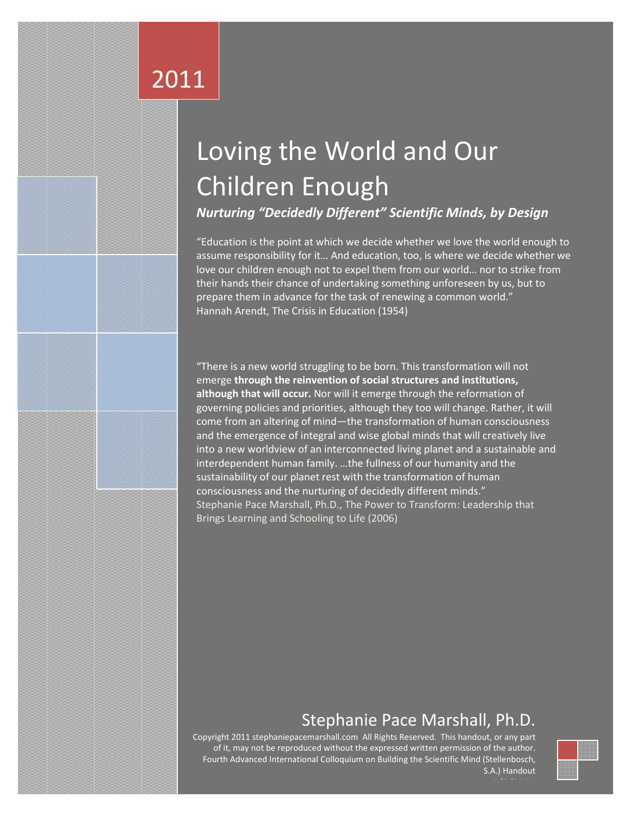# 2011

# Loving the World and Our Children Enough

*Nurturing "Decidedly Different" Scientific Minds, by Design*

"Education is the point at which we decide whether we love the world enough to assume responsibility for it… And education, too, is where we decide whether we love our children enough not to expel them from our world… nor to strike from their hands their chance of undertaking something unforeseen by us, but to prepare them in advance for the task of renewing a common world." Hannah Arendt, The Crisis in Education (1954)

"There is a new world struggling to be born. This transformation will not emerge **through the reinvention of social structures and institutions, although that will occur.** Nor will it emerge through the reformation of governing policies and priorities, although they too will change. Rather, it will come from an altering of mind—the transformation of human consciousness and the emergence of integral and wise global minds that will creatively live into a new worldview of an interconnected living planet and a sustainable and interdependent human family. …the fullness of our humanity and the sustainability of our planet rest with the transformation of human consciousness and the nurturing of decidedly different minds." Stephanie Pace Marshall, Ph.D., The Power to Transform: Leadership that Brings Learning and Schooling to Life (2006)

# Stephanie Pace Marshall, Ph.D.

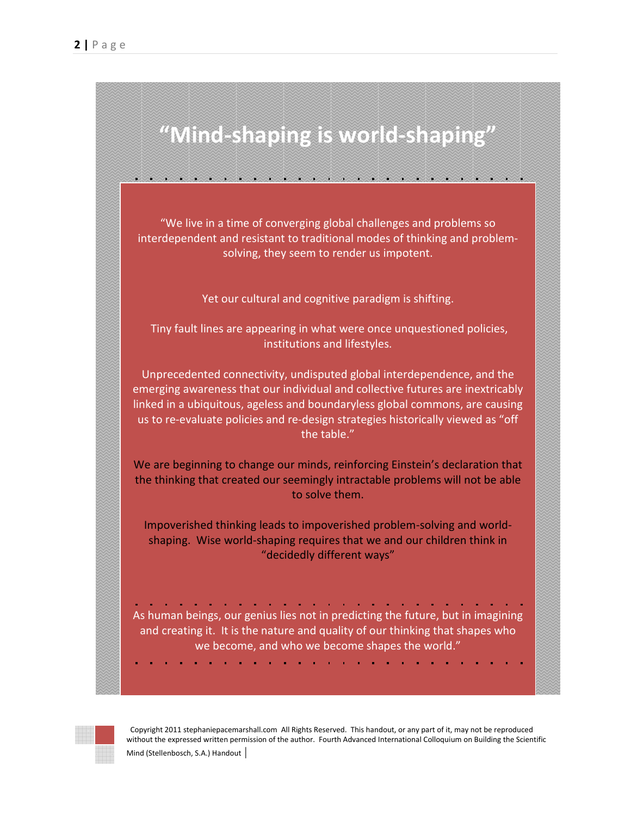

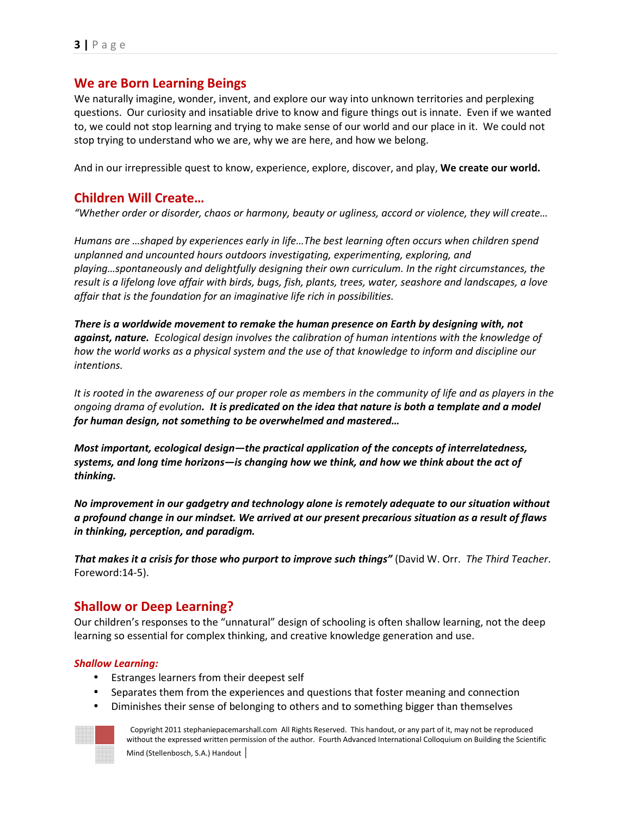## **We are Born Learning Beings**

We naturally imagine, wonder, invent, and explore our way into unknown territories and perplexing questions. Our curiosity and insatiable drive to know and figure things out is innate. Even if we wanted to, we could not stop learning and trying to make sense of our world and our place in it. We could not stop trying to understand who we are, why we are here, and how we belong.

And in our irrepressible quest to know, experience, explore, discover, and play, **We create our world.** 

## **Children Will Create…**

*"Whether order or disorder, chaos or harmony, beauty or ugliness, accord or violence, they will create…*

*Humans are …shaped by experiences early in life…The best learning often occurs when children spend unplanned and uncounted hours outdoors investigating, experimenting, exploring, and playing…spontaneously and delightfully designing their own curriculum. In the right circumstances, the result is a lifelong love affair with birds, bugs, fish, plants, trees, water, seashore and landscapes, a love affair that is the foundation for an imaginative life rich in possibilities.* 

*There is a worldwide movement to remake the human presence on Earth by designing with, not against, nature. Ecological design involves the calibration of human intentions with the knowledge of how the world works as a physical system and the use of that knowledge to inform and discipline our intentions.*

*It is rooted in the awareness of our proper role as members in the community of life and as players in the ongoing drama of evolution. It is predicated on the idea that nature is both a template and a model for human design, not something to be overwhelmed and mastered…* 

*Most important, ecological design—the practical application of the concepts of interrelatedness, systems, and long time horizons—is changing how we think, and how we think about the act of thinking.* 

*No improvement in our gadgetry and technology alone is remotely adequate to our situation without a profound change in our mindset. We arrived at our present precarious situation as a result of flaws in thinking, perception, and paradigm.* 

*That makes it a crisis for those who purport to improve such things"* (David W. Orr. *The Third Teacher*. Foreword:14-5).

## **Shallow or Deep Learning?**

Our children's responses to the "unnatural" design of schooling is often shallow learning, not the deep learning so essential for complex thinking, and creative knowledge generation and use.

#### *Shallow Learning:*

- Estranges learners from their deepest self
- Separates them from the experiences and questions that foster meaning and connection
- Diminishes their sense of belonging to others and to something bigger than themselves

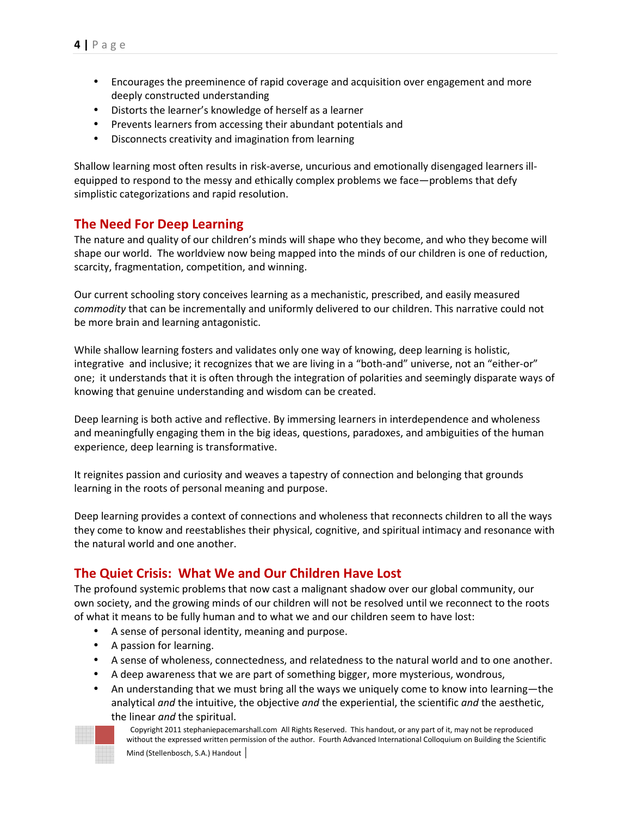- Encourages the preeminence of rapid coverage and acquisition over engagement and more deeply constructed understanding
- Distorts the learner's knowledge of herself as a learner
- Prevents learners from accessing their abundant potentials and
- Disconnects creativity and imagination from learning

Shallow learning most often results in risk-averse, uncurious and emotionally disengaged learners illequipped to respond to the messy and ethically complex problems we face—problems that defy simplistic categorizations and rapid resolution.

## **The Need For Deep Learning**

The nature and quality of our children's minds will shape who they become, and who they become will shape our world. The worldview now being mapped into the minds of our children is one of reduction, scarcity, fragmentation, competition, and winning.

Our current schooling story conceives learning as a mechanistic, prescribed, and easily measured *commodity* that can be incrementally and uniformly delivered to our children. This narrative could not be more brain and learning antagonistic.

While shallow learning fosters and validates only one way of knowing, deep learning is holistic, integrative and inclusive; it recognizes that we are living in a "both-and" universe, not an "either-or" one; it understands that it is often through the integration of polarities and seemingly disparate ways of knowing that genuine understanding and wisdom can be created.

Deep learning is both active and reflective. By immersing learners in interdependence and wholeness and meaningfully engaging them in the big ideas, questions, paradoxes, and ambiguities of the human experience, deep learning is transformative.

It reignites passion and curiosity and weaves a tapestry of connection and belonging that grounds learning in the roots of personal meaning and purpose.

Deep learning provides a context of connections and wholeness that reconnects children to all the ways they come to know and reestablishes their physical, cognitive, and spiritual intimacy and resonance with the natural world and one another.

## **The Quiet Crisis: What We and Our Children Have Lost**

The profound systemic problems that now cast a malignant shadow over our global community, our own society, and the growing minds of our children will not be resolved until we reconnect to the roots of what it means to be fully human and to what we and our children seem to have lost:

- A sense of personal identity, meaning and purpose.
- A passion for learning.
- A sense of wholeness, connectedness, and relatedness to the natural world and to one another.
- A deep awareness that we are part of something bigger, more mysterious, wondrous,
- An understanding that we must bring all the ways we uniquely come to know into learning—the analytical *and* the intuitive, the objective *and* the experiential, the scientific *and* the aesthetic, the linear *and* the spiritual.

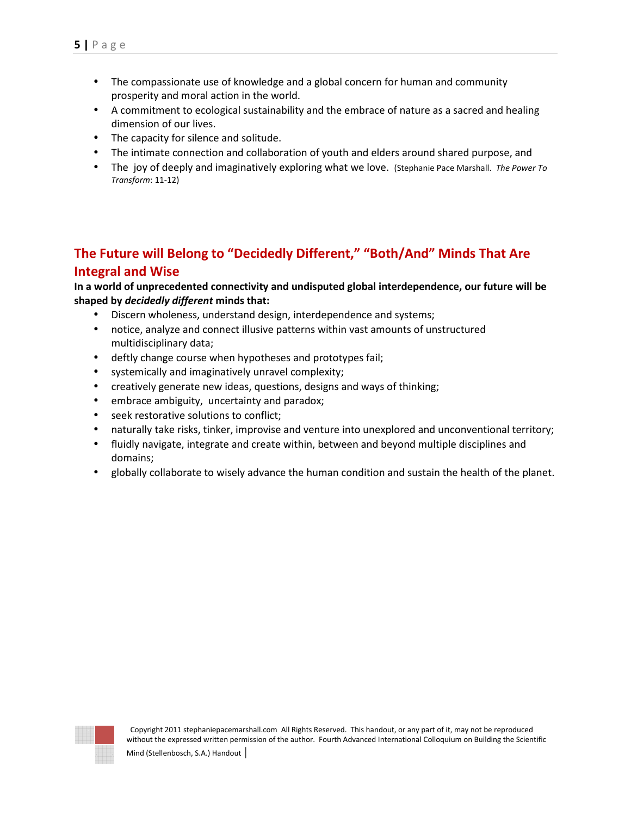- The compassionate use of knowledge and a global concern for human and community prosperity and moral action in the world.
- A commitment to ecological sustainability and the embrace of nature as a sacred and healing dimension of our lives.
- The capacity for silence and solitude.
- The intimate connection and collaboration of youth and elders around shared purpose, and
- The joy of deeply and imaginatively exploring what we love. (Stephanie Pace Marshall. *The Power To Transform*: 11-12)

## **The Future will Belong to "Decidedly Different," "Both/And" Minds That Are Integral and Wise**

**In a world of unprecedented connectivity and undisputed global interdependence, our future will be shaped by** *decidedly different* **minds that:** 

- Discern wholeness, understand design, interdependence and systems;
- notice, analyze and connect illusive patterns within vast amounts of unstructured multidisciplinary data;
- deftly change course when hypotheses and prototypes fail;
- systemically and imaginatively unravel complexity;
- creatively generate new ideas, questions, designs and ways of thinking;
- embrace ambiguity, uncertainty and paradox;
- seek restorative solutions to conflict;
- naturally take risks, tinker, improvise and venture into unexplored and unconventional territory;
- fluidly navigate, integrate and create within, between and beyond multiple disciplines and domains;
- globally collaborate to wisely advance the human condition and sustain the health of the planet.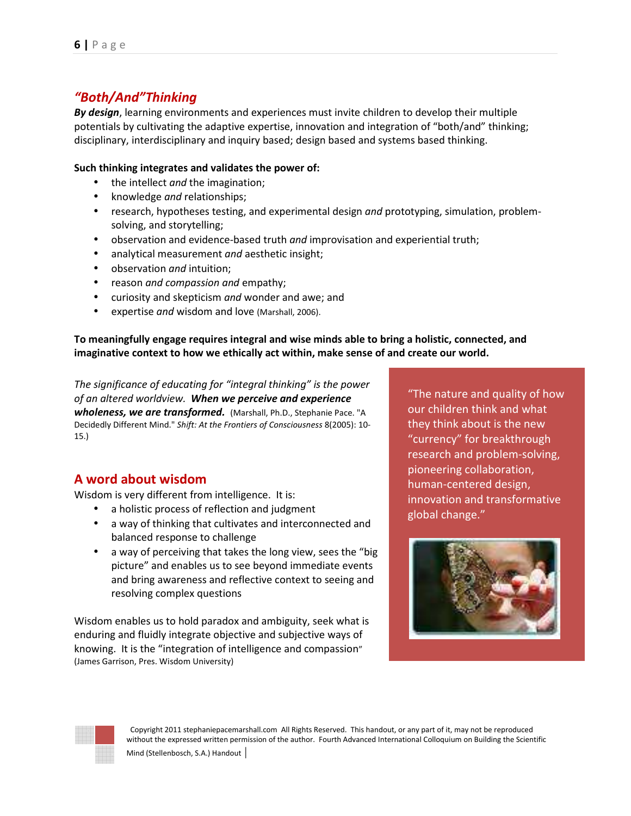## *"Both/And"Thinking*

*By design*, learning environments and experiences must invite children to develop their multiple potentials by cultivating the adaptive expertise, innovation and integration of "both/and" thinking; disciplinary, interdisciplinary and inquiry based; design based and systems based thinking.

#### **Such thinking integrates and validates the power of:**

- the intellect *and* the imagination;
- knowledge *and* relationships;
- research, hypotheses testing, and experimental design *and* prototyping, simulation, problemsolving, and storytelling;
- observation and evidence-based truth *and* improvisation and experiential truth;
- analytical measurement *and* aesthetic insight;
- observation *and* intuition;
- reason *and compassion and* empathy;
- curiosity and skepticism *and* wonder and awe; and
- expertise *and* wisdom and love (Marshall, 2006).

#### **To meaningfully engage requires integral and wise minds able to bring a holistic, connected, and imaginative context to how we ethically act within, make sense of and create our world.**

*The significance of educating for "integral thinking" is the power of an altered worldview. When we perceive and experience wholeness, we are transformed.*(Marshall, Ph.D., Stephanie Pace. "A Decidedly Different Mind." *Shift: At the Frontiers of Consciousness* 8(2005): 10- 15.)

## **A word about wisdom**

Wisdom is very different from intelligence. It is:

- a holistic process of reflection and judgment
- a way of thinking that cultivates and interconnected and balanced response to challenge
- a way of perceiving that takes the long view, sees the "big" picture" and enables us to see beyond immediate events and bring awareness and reflective context to seeing and resolving complex questions

Wisdom enables us to hold paradox and ambiguity, seek what is enduring and fluidly integrate objective and subjective ways of knowing. It is the "integration of intelligence and compassion" (James Garrison, Pres. Wisdom University)

"The nature and quality of how our children think and what they think about is the new "currency" for breakthrough research and problem-solving, pioneering collaboration, human-centered design, innovation and transformative global change."



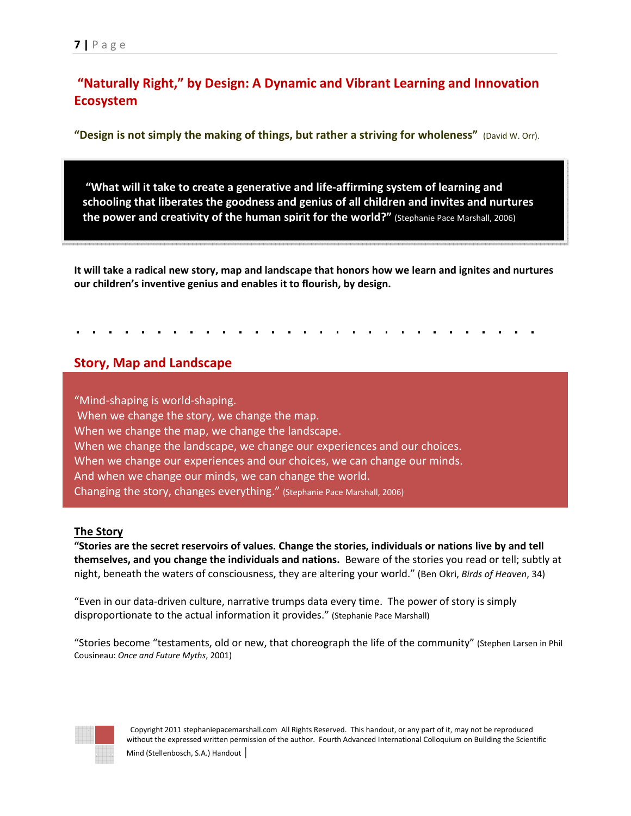## **"Naturally Right," by Design: A Dynamic and Vibrant Learning and Innovation Ecosystem**

**"Design is not simply the making of things, but rather a striving for wholeness"** (David W. Orr).

 **"What will it take to create a generative and life-affirming system of learning and schooling that liberates the goodness and genius of all children and invites and nurtures the power and creativity of the human spirit for the world?"** (Stephanie Pace Marshall, 2006)

**It will take a radical new story, map and landscape that honors how we learn and ignites and nurtures our children's inventive genius and enables it to flourish, by design.** 

## **Story, Map and Landscape**

"Mind-shaping is world-shaping. When we change the story, we change the map. When we change the map, we change the landscape. When we change the landscape, we change our experiences and our choices. When we change our experiences and our choices, we can change our minds. And when we change our minds, we can change the world. Changing the story, changes everything." (Stephanie Pace Marshall, 2006)

#### **The Story**

**"Stories are the secret reservoirs of values. Change the stories, individuals or nations live by and tell themselves, and you change the individuals and nations.** Beware of the stories you read or tell; subtly at night, beneath the waters of consciousness, they are altering your world." (Ben Okri, *Birds of Heaven*, 34)

"Even in our data-driven culture, narrative trumps data every time. The power of story is simply disproportionate to the actual information it provides." (Stephanie Pace Marshall)

"Stories become "testaments, old or new, that choreograph the life of the community" (Stephen Larsen in Phil Cousineau: *Once and Future Myths*, 2001)

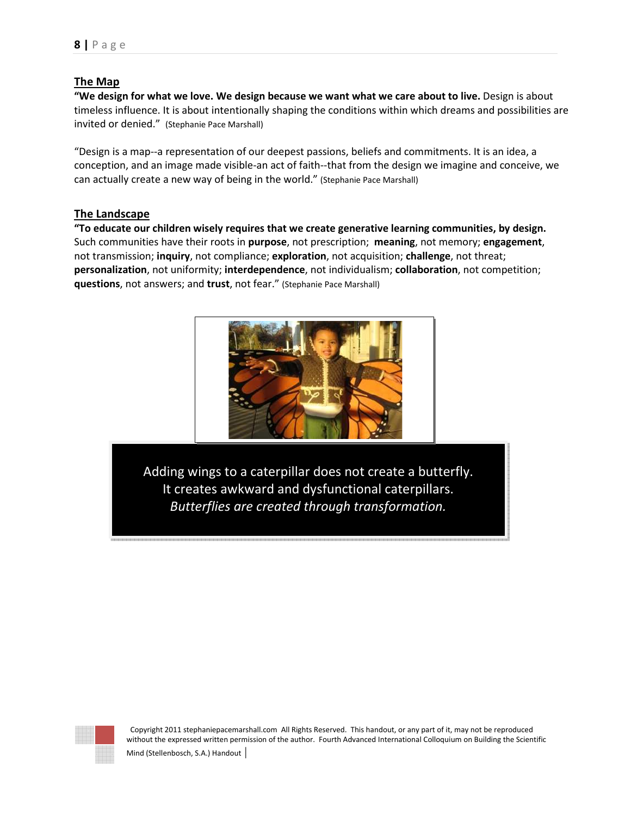#### **The Map**

**"We design for what we love. We design because we want what we care about to live.** Design is about timeless influence. It is about intentionally shaping the conditions within which dreams and possibilities are invited or denied." (Stephanie Pace Marshall)

"Design is a map--a representation of our deepest passions, beliefs and commitments. It is an idea, a conception, and an image made visible-an act of faith--that from the design we imagine and conceive, we can actually create a new way of being in the world." (Stephanie Pace Marshall)

#### **The Landscape**

**"To educate our children wisely requires that we create generative learning communities, by design.** Such communities have their roots in **purpose**, not prescription; **meaning**, not memory; **engagement**, not transmission; **inquiry**, not compliance; **exploration**, not acquisition; **challenge**, not threat; **personalization**, not uniformity; **interdependence**, not individualism; **collaboration**, not competition; **questions**, not answers; and **trust**, not fear." (Stephanie Pace Marshall)



Adding wings to a caterpillar does not create a butterfly. It creates awkward and dysfunctional caterpillars. *Butterflies are created through transformation.* 

| ž<br>۰           | ۰<br>٠      | ë<br>۰      | ۰<br>٠           | ×                |        |                  |                       |                       |        |
|------------------|-------------|-------------|------------------|------------------|--------|------------------|-----------------------|-----------------------|--------|
| ٠<br>٠<br>×<br>Ń | ×           | ī<br>ī      | ٦<br>ī<br>۰      | ×                |        |                  |                       |                       |        |
| ٠<br>٠<br>8      | ٠<br>ĸ      | ٠<br>٠<br>× | ٠<br>٠<br>۰<br>۰ | ×<br>٦           |        |                  |                       |                       |        |
| ٠<br>٠<br>8      | ٠<br>×      | ×           | ×                | 8<br>ı           |        |                  |                       |                       |        |
| ٠<br>٠<br>z<br>۱ | ٠<br>٠<br>۰ | ٦<br>۰<br>v | ٠<br>×           | ٠<br>٠<br>í<br>۱ |        |                  |                       |                       |        |
| ۰<br>۰           |             |             |                  | ۰<br>۰           |        |                  |                       |                       |        |
|                  |             |             |                  |                  | õ<br>ĭ | ×                | ×                     | ÷.                    | ı      |
|                  |             |             |                  |                  | R      | ż<br>¥<br>ö<br>¥ | ż<br>¥<br>ö<br>¥      | v                     |        |
|                  |             |             |                  |                  |        |                  |                       |                       | 4<br>× |
|                  |             |             |                  |                  | 8<br>R | 8<br>ş<br>¥<br>œ | 8<br>ş<br>×<br>×<br>¥ | 8<br>ż<br>¥<br>×<br>¥ | ï<br>ż |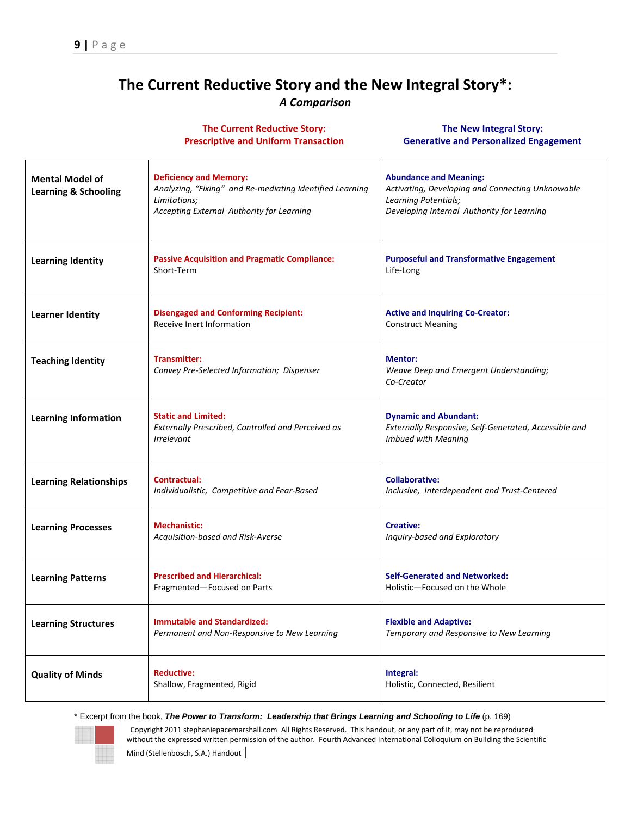## **The Current Reductive Story and the New Integral Story\*:**  *A Comparison*

|                                                           | <b>The Current Reductive Story:</b><br><b>Prescriptive and Uniform Transaction</b>                                                                     | <b>The New Integral Story:</b><br><b>Generative and Personalized Engagement</b>                                                                         |
|-----------------------------------------------------------|--------------------------------------------------------------------------------------------------------------------------------------------------------|---------------------------------------------------------------------------------------------------------------------------------------------------------|
| <b>Mental Model of</b><br><b>Learning &amp; Schooling</b> | <b>Deficiency and Memory:</b><br>Analyzing, "Fixing" and Re-mediating Identified Learning<br>Limitations;<br>Accepting External Authority for Learning | <b>Abundance and Meaning:</b><br>Activating, Developing and Connecting Unknowable<br>Learning Potentials;<br>Developing Internal Authority for Learning |
| <b>Learning Identity</b>                                  | <b>Passive Acquisition and Pragmatic Compliance:</b><br>Short-Term                                                                                     | <b>Purposeful and Transformative Engagement</b><br>Life-Long                                                                                            |
| <b>Learner Identity</b>                                   | <b>Disengaged and Conforming Recipient:</b><br>Receive Inert Information                                                                               | <b>Active and Inquiring Co-Creator:</b><br><b>Construct Meaning</b>                                                                                     |
| <b>Teaching Identity</b>                                  | <b>Transmitter:</b><br>Convey Pre-Selected Information; Dispenser                                                                                      | <b>Mentor:</b><br>Weave Deep and Emergent Understanding;<br>Co-Creator                                                                                  |
| <b>Learning Information</b>                               | <b>Static and Limited:</b><br>Externally Prescribed, Controlled and Perceived as<br><i><u><b>Irrelevant</b></u></i>                                    | <b>Dynamic and Abundant:</b><br>Externally Responsive, Self-Generated, Accessible and<br><b>Imbued with Meaning</b>                                     |
| <b>Learning Relationships</b>                             | Contractual:<br>Individualistic, Competitive and Fear-Based                                                                                            | <b>Collaborative:</b><br>Inclusive, Interdependent and Trust-Centered                                                                                   |
| <b>Learning Processes</b>                                 | <b>Mechanistic:</b><br>Acquisition-based and Risk-Averse                                                                                               | <b>Creative:</b><br>Inquiry-based and Exploratory                                                                                                       |
| <b>Learning Patterns</b>                                  | <b>Prescribed and Hierarchical:</b><br>Fragmented—Focused on Parts                                                                                     | <b>Self-Generated and Networked:</b><br>Holistic—Focused on the Whole                                                                                   |
| <b>Learning Structures</b>                                | <b>Immutable and Standardized:</b><br>Permanent and Non-Responsive to New Learning                                                                     | <b>Flexible and Adaptive:</b><br>Temporary and Responsive to New Learning                                                                               |
| <b>Quality of Minds</b>                                   | <b>Reductive:</b><br>Shallow, Fragmented, Rigid                                                                                                        | Integral:<br>Holistic, Connected, Resilient                                                                                                             |

\* Excerpt from the book, **The Power to Transform: Leadership that Brings Learning and Schooling to Life** (p. 169)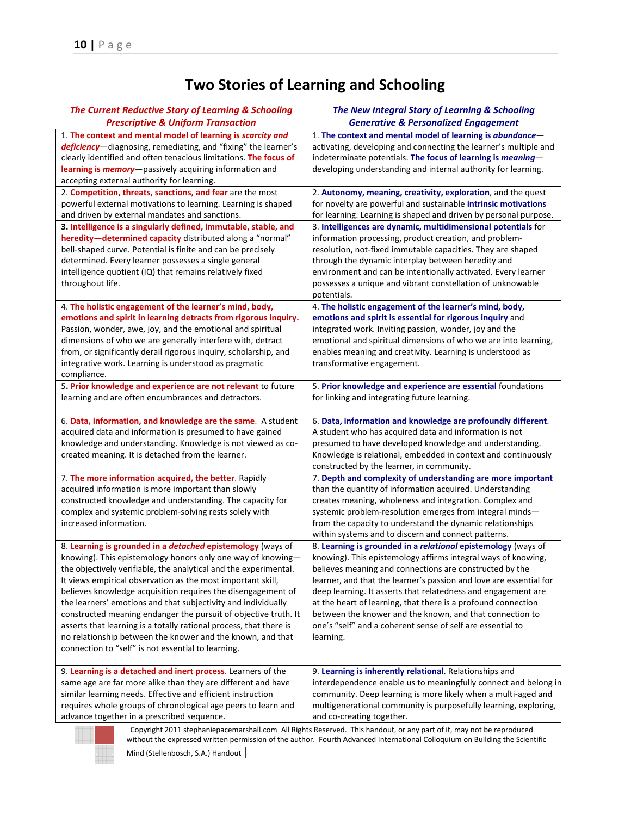# **Two Stories of Learning and Schooling**

| The Current Reductive Story of Learning & Schooling                                                                                                                                                                                                                                                                                                                                                                                                                                                                                                                                                                                                         | The New Integral Story of Learning & Schooling                                                                                                                                                                                                                                                                                                                                                                                                                                                                                                                                                                                                              |
|-------------------------------------------------------------------------------------------------------------------------------------------------------------------------------------------------------------------------------------------------------------------------------------------------------------------------------------------------------------------------------------------------------------------------------------------------------------------------------------------------------------------------------------------------------------------------------------------------------------------------------------------------------------|-------------------------------------------------------------------------------------------------------------------------------------------------------------------------------------------------------------------------------------------------------------------------------------------------------------------------------------------------------------------------------------------------------------------------------------------------------------------------------------------------------------------------------------------------------------------------------------------------------------------------------------------------------------|
| <b>Prescriptive &amp; Uniform Transaction</b>                                                                                                                                                                                                                                                                                                                                                                                                                                                                                                                                                                                                               | <b>Generative &amp; Personalized Engagement</b>                                                                                                                                                                                                                                                                                                                                                                                                                                                                                                                                                                                                             |
| 1. The context and mental model of learning is scarcity and<br>deficiency-diagnosing, remediating, and "fixing" the learner's<br>clearly identified and often tenacious limitations. The focus of<br>learning is <i>memory</i> -passively acquiring information and<br>accepting external authority for learning.                                                                                                                                                                                                                                                                                                                                           | 1. The context and mental model of learning is abundance-<br>activating, developing and connecting the learner's multiple and<br>indeterminate potentials. The focus of learning is meaning-<br>developing understanding and internal authority for learning.                                                                                                                                                                                                                                                                                                                                                                                               |
| 2. Competition, threats, sanctions, and fear are the most<br>powerful external motivations to learning. Learning is shaped<br>and driven by external mandates and sanctions.<br>3. Intelligence is a singularly defined, immutable, stable, and<br>heredity-determined capacity distributed along a "normal"<br>bell-shaped curve. Potential is finite and can be precisely<br>determined. Every learner possesses a single general<br>intelligence quotient (IQ) that remains relatively fixed<br>throughout life.<br>4. The holistic engagement of the learner's mind, body,                                                                              | 2. Autonomy, meaning, creativity, exploration, and the quest<br>for novelty are powerful and sustainable intrinsic motivations<br>for learning. Learning is shaped and driven by personal purpose.<br>3. Intelligences are dynamic, multidimensional potentials for<br>information processing, product creation, and problem-<br>resolution, not-fixed immutable capacities. They are shaped<br>through the dynamic interplay between heredity and<br>environment and can be intentionally activated. Every learner<br>possesses a unique and vibrant constellation of unknowable<br>potentials.<br>4. The holistic engagement of the learner's mind, body, |
| emotions and spirit in learning detracts from rigorous inquiry.<br>Passion, wonder, awe, joy, and the emotional and spiritual<br>dimensions of who we are generally interfere with, detract<br>from, or significantly derail rigorous inquiry, scholarship, and<br>integrative work. Learning is understood as pragmatic<br>compliance.                                                                                                                                                                                                                                                                                                                     | emotions and spirit is essential for rigorous inquiry and<br>integrated work. Inviting passion, wonder, joy and the<br>emotional and spiritual dimensions of who we are into learning,<br>enables meaning and creativity. Learning is understood as<br>transformative engagement.                                                                                                                                                                                                                                                                                                                                                                           |
| 5. Prior knowledge and experience are not relevant to future<br>learning and are often encumbrances and detractors.                                                                                                                                                                                                                                                                                                                                                                                                                                                                                                                                         | 5. Prior knowledge and experience are essential foundations<br>for linking and integrating future learning.                                                                                                                                                                                                                                                                                                                                                                                                                                                                                                                                                 |
| 6. Data, information, and knowledge are the same. A student<br>acquired data and information is presumed to have gained<br>knowledge and understanding. Knowledge is not viewed as co-<br>created meaning. It is detached from the learner.                                                                                                                                                                                                                                                                                                                                                                                                                 | 6. Data, information and knowledge are profoundly different.<br>A student who has acquired data and information is not<br>presumed to have developed knowledge and understanding.<br>Knowledge is relational, embedded in context and continuously<br>constructed by the learner, in community.                                                                                                                                                                                                                                                                                                                                                             |
| 7. The more information acquired, the better. Rapidly<br>acquired information is more important than slowly<br>constructed knowledge and understanding. The capacity for<br>complex and systemic problem-solving rests solely with<br>increased information.                                                                                                                                                                                                                                                                                                                                                                                                | 7. Depth and complexity of understanding are more important<br>than the quantity of information acquired. Understanding<br>creates meaning, wholeness and integration. Complex and<br>systemic problem-resolution emerges from integral minds-<br>from the capacity to understand the dynamic relationships<br>within systems and to discern and connect patterns.                                                                                                                                                                                                                                                                                          |
| 8. Learning is grounded in a detached epistemology (ways of<br>knowing). This epistemology honors only one way of knowing-<br>the objectively verifiable, the analytical and the experimental.<br>It views empirical observation as the most important skill,<br>believes knowledge acquisition requires the disengagement of<br>the learners' emotions and that subjectivity and individually<br>constructed meaning endanger the pursuit of objective truth. It<br>asserts that learning is a totally rational process, that there is<br>no relationship between the knower and the known, and that<br>connection to "self" is not essential to learning. | 8. Learning is grounded in a relational epistemology (ways of<br>knowing). This epistemology affirms integral ways of knowing,<br>believes meaning and connections are constructed by the<br>learner, and that the learner's passion and love are essential for<br>deep learning. It asserts that relatedness and engagement are<br>at the heart of learning, that there is a profound connection<br>between the knower and the known, and that connection to<br>one's "self" and a coherent sense of self are essential to<br>learning.                                                                                                                    |
| 9. Learning is a detached and inert process. Learners of the<br>same age are far more alike than they are different and have<br>similar learning needs. Effective and efficient instruction<br>requires whole groups of chronological age peers to learn and<br>advance together in a prescribed sequence.                                                                                                                                                                                                                                                                                                                                                  | 9. Learning is inherently relational. Relationships and<br>interdependence enable us to meaningfully connect and belong in<br>community. Deep learning is more likely when a multi-aged and<br>multigenerational community is purposefully learning, exploring,<br>and co-creating together.                                                                                                                                                                                                                                                                                                                                                                |

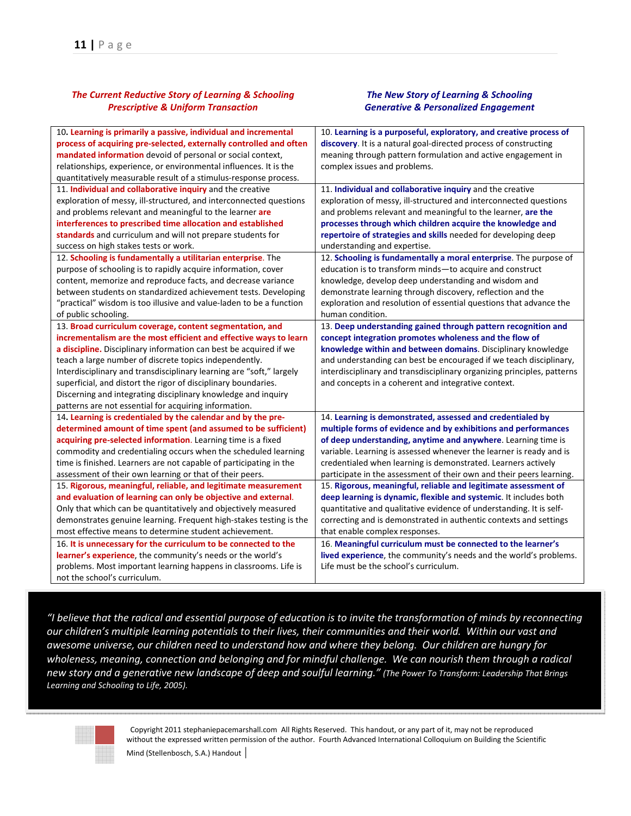#### *The Current Reductive Story of Learning & Schooling Prescriptive & Uniform Transaction*

#### *The New Story of Learning & Schooling Generative & Personalized Engagement*

| 10. Learning is primarily a passive, individual and incremental      | 10. Learning is a purposeful, exploratory, and creative process of      |
|----------------------------------------------------------------------|-------------------------------------------------------------------------|
| process of acquiring pre-selected, externally controlled and often   | discovery. It is a natural goal-directed process of constructing        |
| mandated information devoid of personal or social context,           | meaning through pattern formulation and active engagement in            |
| relationships, experience, or environmental influences. It is the    | complex issues and problems.                                            |
| quantitatively measurable result of a stimulus-response process.     |                                                                         |
| 11. Individual and collaborative inquiry and the creative            | 11. Individual and collaborative inquiry and the creative               |
| exploration of messy, ill-structured, and interconnected questions   | exploration of messy, ill-structured and interconnected questions       |
| and problems relevant and meaningful to the learner are              | and problems relevant and meaningful to the learner, are the            |
| interferences to prescribed time allocation and established          | processes through which children acquire the knowledge and              |
| standards and curriculum and will not prepare students for           | repertoire of strategies and skills needed for developing deep          |
| success on high stakes tests or work.                                | understanding and expertise.                                            |
| 12. Schooling is fundamentally a utilitarian enterprise. The         | 12. Schooling is fundamentally a moral enterprise. The purpose of       |
| purpose of schooling is to rapidly acquire information, cover        | education is to transform minds-to acquire and construct                |
| content, memorize and reproduce facts, and decrease variance         | knowledge, develop deep understanding and wisdom and                    |
| between students on standardized achievement tests. Developing       | demonstrate learning through discovery, reflection and the              |
| "practical" wisdom is too illusive and value-laden to be a function  | exploration and resolution of essential questions that advance the      |
| of public schooling.                                                 | human condition.                                                        |
| 13. Broad curriculum coverage, content segmentation, and             | 13. Deep understanding gained through pattern recognition and           |
| incrementalism are the most efficient and effective ways to learn    | concept integration promotes wholeness and the flow of                  |
| a discipline. Disciplinary information can best be acquired if we    | knowledge within and between domains. Disciplinary knowledge            |
| teach a large number of discrete topics independently.               | and understanding can best be encouraged if we teach disciplinary,      |
| Interdisciplinary and transdisciplinary learning are "soft," largely | interdisciplinary and transdisciplinary organizing principles, patterns |
| superficial, and distort the rigor of disciplinary boundaries.       | and concepts in a coherent and integrative context.                     |
| Discerning and integrating disciplinary knowledge and inquiry        |                                                                         |
| patterns are not essential for acquiring information.                |                                                                         |
| 14. Learning is credentialed by the calendar and by the pre-         | 14. Learning is demonstrated, assessed and credentialed by              |
| determined amount of time spent (and assumed to be sufficient)       | multiple forms of evidence and by exhibitions and performances          |
| acquiring pre-selected information. Learning time is a fixed         | of deep understanding, anytime and anywhere. Learning time is           |
| commodity and credentialing occurs when the scheduled learning       | variable. Learning is assessed whenever the learner is ready and is     |
| time is finished. Learners are not capable of participating in the   | credentialed when learning is demonstrated. Learners actively           |
| assessment of their own learning or that of their peers.             | participate in the assessment of their own and their peers learning.    |
| 15. Rigorous, meaningful, reliable, and legitimate measurement       | 15. Rigorous, meaningful, reliable and legitimate assessment of         |
| and evaluation of learning can only be objective and external.       | deep learning is dynamic, flexible and systemic. It includes both       |
| Only that which can be quantitatively and objectively measured       | quantitative and qualitative evidence of understanding. It is self-     |
| demonstrates genuine learning. Frequent high-stakes testing is the   | correcting and is demonstrated in authentic contexts and settings       |
| most effective means to determine student achievement.               | that enable complex responses.                                          |
| 16. It is unnecessary for the curriculum to be connected to the      | 16. Meaningful curriculum must be connected to the learner's            |
| learner's experience, the community's needs or the world's           | lived experience, the community's needs and the world's problems.       |
| problems. Most important learning happens in classrooms. Life is     | Life must be the school's curriculum.                                   |
| not the school's curriculum.                                         |                                                                         |

*"I believe that the radical and essential purpose of education is to invite the transformation of minds by reconnecting our children's multiple learning potentials to their lives, their communities and their world. Within our vast and awesome universe, our children need to understand how and where they belong. Our children are hungry for wholeness, meaning, connection and belonging and for mindful challenge. We can nourish them through a radical new story and a generative new landscape of deep and soulful learning." (The Power To Transform: Leadership That Brings Learning and Schooling to Life, 2005).*

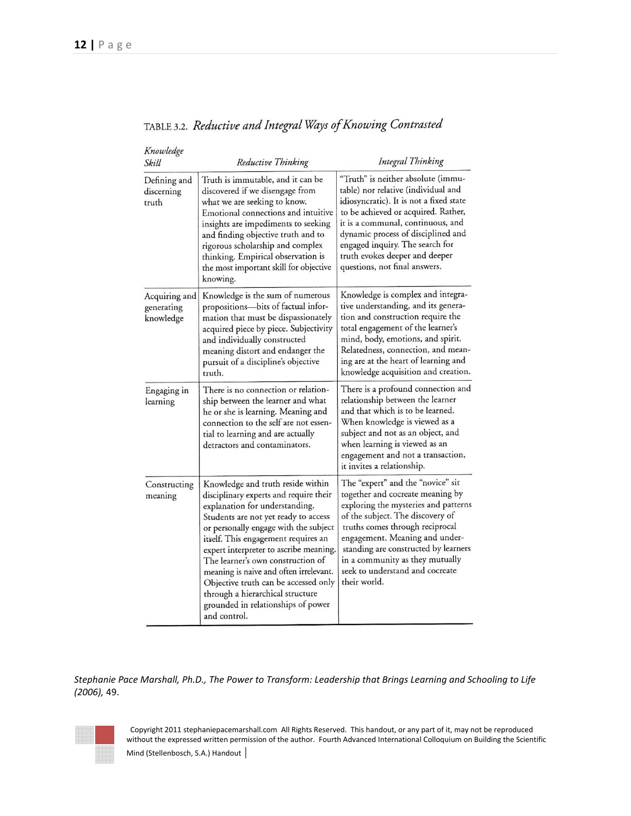| Knowledge<br>Skill                       | Reductive Thinking                                                                                                                                                                                                                                                                                                                                                                                                                                                                               | Integral Thinking                                                                                                                                                                                                                                                                                                                                    |
|------------------------------------------|--------------------------------------------------------------------------------------------------------------------------------------------------------------------------------------------------------------------------------------------------------------------------------------------------------------------------------------------------------------------------------------------------------------------------------------------------------------------------------------------------|------------------------------------------------------------------------------------------------------------------------------------------------------------------------------------------------------------------------------------------------------------------------------------------------------------------------------------------------------|
| Defining and<br>discerning<br>truth      | Truth is immutable, and it can be<br>discovered if we disengage from<br>what we are seeking to know.<br>Emotional connections and intuitive<br>insights are impediments to seeking<br>and finding objective truth and to<br>rigorous scholarship and complex<br>thinking. Empirical observation is<br>the most important skill for objective<br>knowing.                                                                                                                                         | "Truth" is neither absolute (immu-<br>table) nor relative (individual and<br>idiosyncratic). It is not a fixed state<br>to be achieved or acquired. Rather,<br>it is a communal, continuous, and<br>dynamic process of disciplined and<br>engaged inquiry. The search for<br>truth evokes deeper and deeper<br>questions, not final answers.         |
| Acquiring and<br>generating<br>knowledge | Knowledge is the sum of numerous<br>propositions-bits of factual infor-<br>mation that must be dispassionately<br>acquired piece by piece. Subjectivity<br>and individually constructed<br>meaning distort and endanger the<br>pursuit of a discipline's objective<br>truth.                                                                                                                                                                                                                     | Knowledge is complex and integra-<br>tive understanding, and its genera-<br>tion and construction require the<br>total engagement of the learner's<br>mind, body, emotions, and spirit.<br>Relatedness, connection, and mean-<br>ing are at the heart of learning and<br>knowledge acquisition and creation.                                         |
| Engaging in<br>learning                  | There is no connection or relation-<br>ship between the learner and what<br>he or she is learning. Meaning and<br>connection to the self are not essen-<br>tial to learning and are actually<br>detractors and contaminators.                                                                                                                                                                                                                                                                    | There is a profound connection and<br>relationship between the learner<br>and that which is to be learned.<br>When knowledge is viewed as a<br>subject and not as an object, and<br>when learning is viewed as an<br>engagement and not a transaction,<br>it invites a relationship.                                                                 |
| Constructing<br>meaning                  | Knowledge and truth reside within<br>disciplinary experts and require their<br>explanation for understanding.<br>Students are not yet ready to access<br>or personally engage with the subject<br>itself. This engagement requires an<br>expert interpreter to ascribe meaning.<br>The learner's own construction of<br>meaning is naive and often irrelevant.<br>Objective truth can be accessed only<br>through a hierarchical structure<br>grounded in relationships of power<br>and control. | The "expert" and the "novice" sit<br>together and cocreate meaning by<br>exploring the mysteries and patterns<br>of the subject. The discovery of<br>truths comes through reciprocal<br>engagement. Meaning and under-<br>standing are constructed by learners<br>in a community as they mutually<br>seek to understand and cocreate<br>their world. |

TABLE 3.2. Reductive and Integral Ways of Knowing Contrasted

*Stephanie Pace Marshall, Ph.D., The Power to Transform: Leadership that Brings Learning and Schooling to Life (2006),* 49.

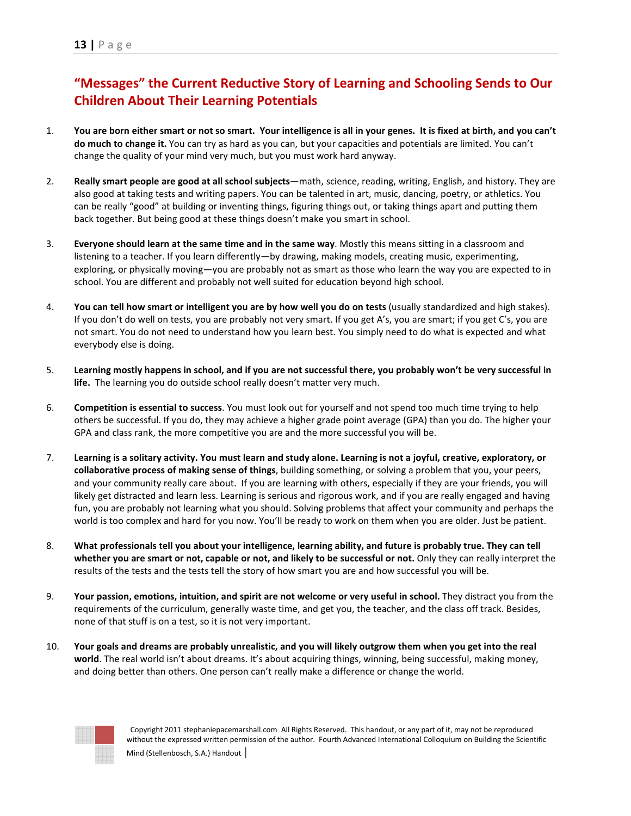## **"Messages" the Current Reductive Story of Learning and Schooling Sends to Our Children About Their Learning Potentials**

- 1. **You are born either smart or not so smart. Your intelligence is all in your genes. It is fixed at birth, and you can't do much to change it.** You can try as hard as you can, but your capacities and potentials are limited. You can't change the quality of your mind very much, but you must work hard anyway.
- 2. **Really smart people are good at all school subjects**—math, science, reading, writing, English, and history. They are also good at taking tests and writing papers. You can be talented in art, music, dancing, poetry, or athletics. You can be really "good" at building or inventing things, figuring things out, or taking things apart and putting them back together. But being good at these things doesn't make you smart in school.
- 3. **Everyone should learn at the same time and in the same way**. Mostly this means sitting in a classroom and listening to a teacher. If you learn differently—by drawing, making models, creating music, experimenting, exploring, or physically moving—you are probably not as smart as those who learn the way you are expected to in school. You are different and probably not well suited for education beyond high school.
- 4. **You can tell how smart or intelligent you are by how well you do on tests** (usually standardized and high stakes). If you don't do well on tests, you are probably not very smart. If you get A's, you are smart; if you get C's, you are not smart. You do not need to understand how you learn best. You simply need to do what is expected and what everybody else is doing.
- 5. **Learning mostly happens in school, and if you are not successful there, you probably won't be very successful in life.** The learning you do outside school really doesn't matter very much.
- 6. **Competition is essential to success**. You must look out for yourself and not spend too much time trying to help others be successful. If you do, they may achieve a higher grade point average (GPA) than you do. The higher your GPA and class rank, the more competitive you are and the more successful you will be.
- 7. **Learning is a solitary activity. You must learn and study alone. Learning is not a joyful, creative, exploratory, or collaborative process of making sense of things**, building something, or solving a problem that you, your peers, and your community really care about. If you are learning with others, especially if they are your friends, you will likely get distracted and learn less. Learning is serious and rigorous work, and if you are really engaged and having fun, you are probably not learning what you should. Solving problems that affect your community and perhaps the world is too complex and hard for you now. You'll be ready to work on them when you are older. Just be patient.
- 8. **What professionals tell you about your intelligence, learning ability, and future is probably true. They can tell whether you are smart or not, capable or not, and likely to be successful or not.** Only they can really interpret the results of the tests and the tests tell the story of how smart you are and how successful you will be.
- 9. **Your passion, emotions, intuition, and spirit are not welcome or very useful in school.** They distract you from the requirements of the curriculum, generally waste time, and get you, the teacher, and the class off track. Besides, none of that stuff is on a test, so it is not very important.
- 10. **Your goals and dreams are probably unrealistic, and you will likely outgrow them when you get into the real world**. The real world isn't about dreams. It's about acquiring things, winning, being successful, making money, and doing better than others. One person can't really make a difference or change the world.

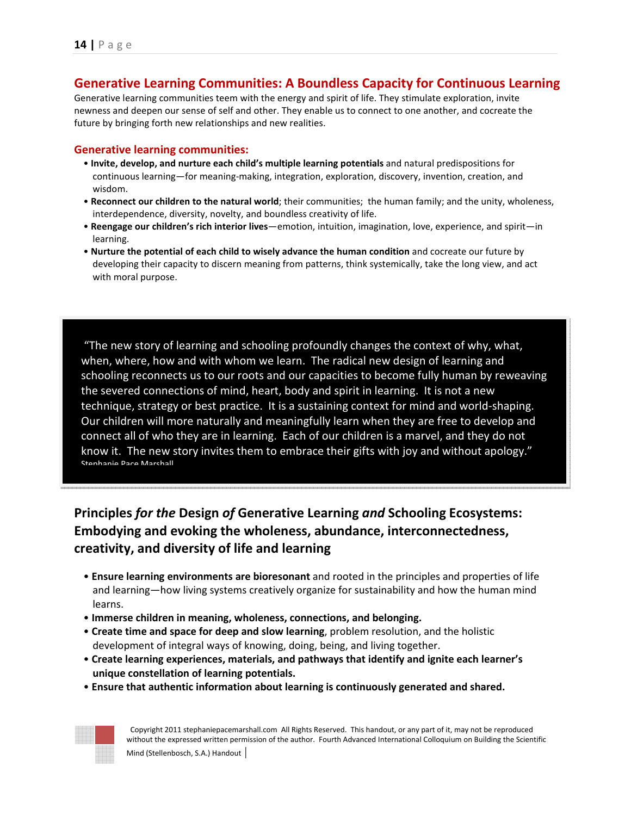## **Generative Learning Communities: A Boundless Capacity for Continuous Learning**

Generative learning communities teem with the energy and spirit of life. They stimulate exploration, invite newness and deepen our sense of self and other. They enable us to connect to one another, and cocreate the future by bringing forth new relationships and new realities.

#### **Generative learning communities:**

- **Invite, develop, and nurture each child's multiple learning potentials** and natural predispositions for continuous learning—for meaning-making, integration, exploration, discovery, invention, creation, and wisdom.
- **Reconnect our children to the natural world**; their communities; the human family; and the unity, wholeness, interdependence, diversity, novelty, and boundless creativity of life.
- **Reengage our children's rich interior lives**—emotion, intuition, imagination, love, experience, and spirit—in learning.
- **Nurture the potential of each child to wisely advance the human condition** and cocreate our future by developing their capacity to discern meaning from patterns, think systemically, take the long view, and act with moral purpose.

 "The new story of learning and schooling profoundly changes the context of why, what, when, where, how and with whom we learn. The radical new design of learning and schooling reconnects us to our roots and our capacities to become fully human by reweaving the severed connections of mind, heart, body and spirit in learning. It is not a new technique, strategy or best practice. It is a sustaining context for mind and world-shaping. Our children will more naturally and meaningfully learn when they are free to develop and connect all of who they are in learning. Each of our children is a marvel, and they do not know it. The new story invites them to embrace their gifts with joy and without apology." Stephanie Pace Marshall

## **Principles** *for the* **Design** *of* **Generative Learning** *and* **Schooling Ecosystems: Embodying and evoking the wholeness, abundance, interconnectedness, creativity, and diversity of life and learning**

- **Ensure learning environments are bioresonant** and rooted in the principles and properties of life and learning—how living systems creatively organize for sustainability and how the human mind learns.
- **Immerse children in meaning, wholeness, connections, and belonging.**
- **Create time and space for deep and slow learning**, problem resolution, and the holistic development of integral ways of knowing, doing, being, and living together.
- **Create learning experiences, materials, and pathways that identify and ignite each learner's unique constellation of learning potentials.**
- **Ensure that authentic information about learning is continuously generated and shared.**

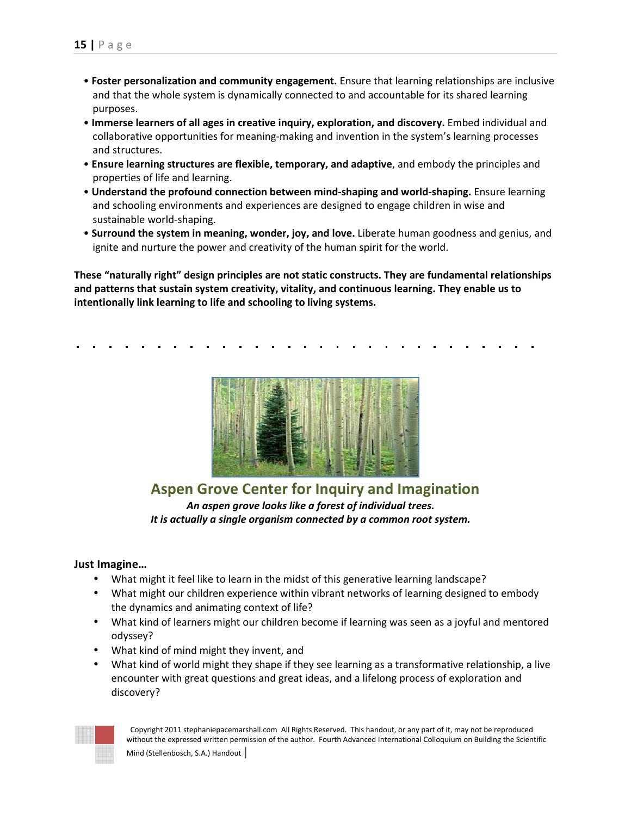- **Foster personalization and community engagement.** Ensure that learning relationships are inclusive and that the whole system is dynamically connected to and accountable for its shared learning purposes.
- **Immerse learners of all ages in creative inquiry, exploration, and discovery.** Embed individual and collaborative opportunities for meaning-making and invention in the system's learning processes and structures.
- **Ensure learning structures are flexible, temporary, and adaptive**, and embody the principles and properties of life and learning.
- **Understand the profound connection between mind-shaping and world-shaping.** Ensure learning and schooling environments and experiences are designed to engage children in wise and sustainable world-shaping.
- **Surround the system in meaning, wonder, joy, and love.** Liberate human goodness and genius, and ignite and nurture the power and creativity of the human spirit for the world.

**These "naturally right" design principles are not static constructs. They are fundamental relationships and patterns that sustain system creativity, vitality, and continuous learning. They enable us to intentionally link learning to life and schooling to living systems.** 



**Aspen Grove Center for Inquiry and Imagination**  *An aspen grove looks like a forest of individual trees. It is actually a single organism connected by a common root system.*

#### **Just Imagine…**

- What might it feel like to learn in the midst of this generative learning landscape?
- What might our children experience within vibrant networks of learning designed to embody the dynamics and animating context of life?
- What kind of learners might our children become if learning was seen as a joyful and mentored odyssey?
- What kind of mind might they invent, and
- What kind of world might they shape if they see learning as a transformative relationship, a live encounter with great questions and great ideas, and a lifelong process of exploration and discovery?

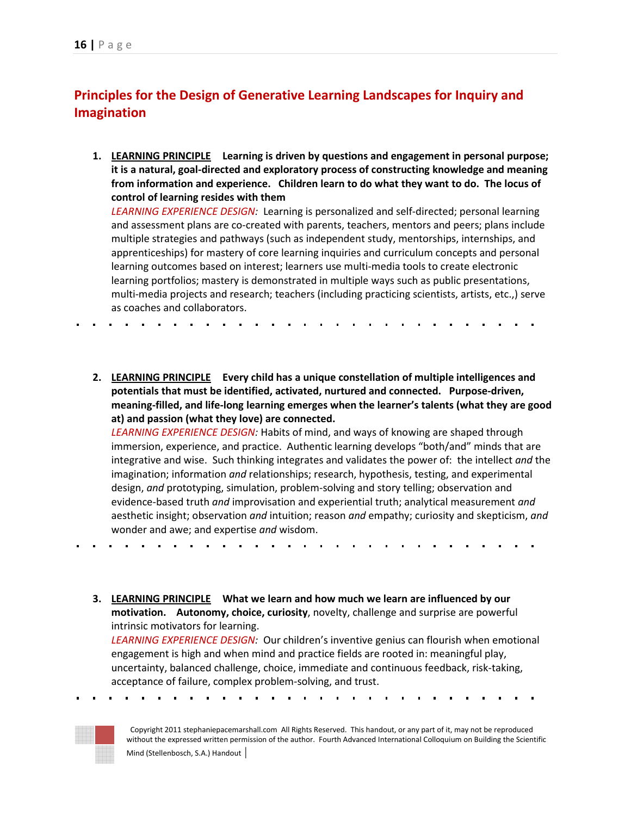## **Principles for the Design of Generative Learning Landscapes for Inquiry and Imagination**

**1. LEARNING PRINCIPLE Learning is driven by questions and engagement in personal purpose; it is a natural, goal-directed and exploratory process of constructing knowledge and meaning from information and experience. Children learn to do what they want to do. The locus of control of learning resides with them** 

*LEARNING EXPERIENCE DESIGN:* Learning is personalized and self-directed; personal learning and assessment plans are co-created with parents, teachers, mentors and peers; plans include multiple strategies and pathways (such as independent study, mentorships, internships, and apprenticeships) for mastery of core learning inquiries and curriculum concepts and personal learning outcomes based on interest; learners use multi-media tools to create electronic learning portfolios; mastery is demonstrated in multiple ways such as public presentations, multi-media projects and research; teachers (including practicing scientists, artists, etc.,) serve as coaches and collaborators.

**2. LEARNING PRINCIPLE Every child has a unique constellation of multiple intelligences and potentials that must be identified, activated, nurtured and connected. Purpose-driven, meaning-filled, and life-long learning emerges when the learner's talents (what they are good at) and passion (what they love) are connected.** 

*LEARNING EXPERIENCE DESIGN:* Habits of mind, and ways of knowing are shaped through immersion, experience, and practice. Authentic learning develops "both/and" minds that are integrative and wise. Such thinking integrates and validates the power of: the intellect *and* the imagination; information *and* relationships; research, hypothesis, testing, and experimental design, *and* prototyping, simulation, problem-solving and story telling; observation and evidence-based truth *and* improvisation and experiential truth; analytical measurement *and*  aesthetic insight; observation *and* intuition; reason *and* empathy; curiosity and skepticism, *and* wonder and awe; and expertise *and* wisdom.

**3. LEARNING PRINCIPLE What we learn and how much we learn are influenced by our motivation. Autonomy, choice, curiosity**, novelty, challenge and surprise are powerful intrinsic motivators for learning.

*LEARNING EXPERIENCE DESIGN:* Our children's inventive genius can flourish when emotional engagement is high and when mind and practice fields are rooted in: meaningful play, uncertainty, balanced challenge, choice, immediate and continuous feedback, risk-taking, acceptance of failure, complex problem-solving, and trust.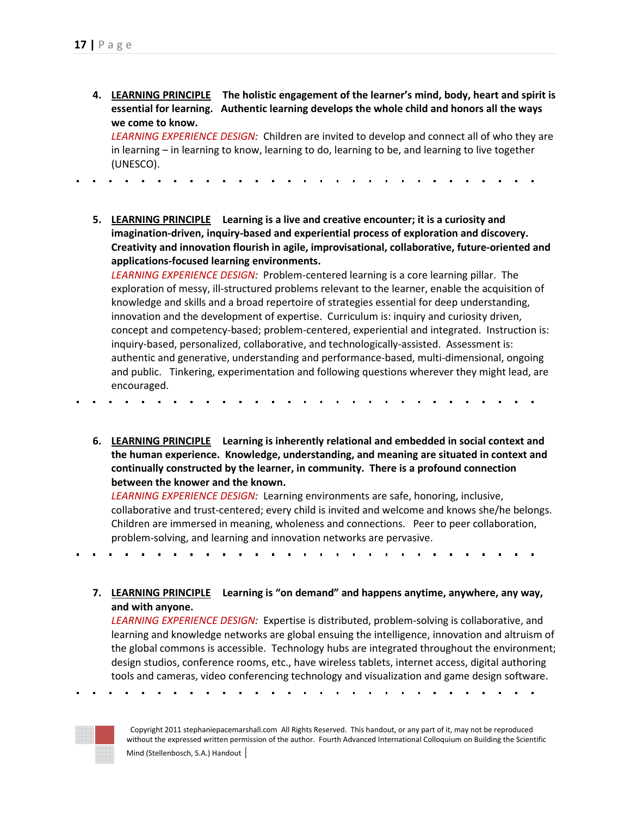**4. LEARNING PRINCIPLE The holistic engagement of the learner's mind, body, heart and spirit is essential for learning. Authentic learning develops the whole child and honors all the ways we come to know.** 

*LEARNING EXPERIENCE DESIGN:* Children are invited to develop and connect all of who they are in learning – in learning to know, learning to do, learning to be, and learning to live together (UNESCO).

**5. LEARNING PRINCIPLE Learning is a live and creative encounter; it is a curiosity and imagination-driven, inquiry-based and experiential process of exploration and discovery. Creativity and innovation flourish in agile, improvisational, collaborative, future-oriented and applications-focused learning environments.** 

*LEARNING EXPERIENCE DESIGN:* Problem-centered learning is a core learning pillar. The exploration of messy, ill-structured problems relevant to the learner, enable the acquisition of knowledge and skills and a broad repertoire of strategies essential for deep understanding, innovation and the development of expertise. Curriculum is: inquiry and curiosity driven, concept and competency-based; problem-centered, experiential and integrated. Instruction is: inquiry-based, personalized, collaborative, and technologically-assisted. Assessment is: authentic and generative, understanding and performance-based, multi-dimensional, ongoing and public. Tinkering, experimentation and following questions wherever they might lead, are encouraged.

**6. LEARNING PRINCIPLE Learning is inherently relational and embedded in social context and the human experience. Knowledge, understanding, and meaning are situated in context and continually constructed by the learner, in community. There is a profound connection between the knower and the known.** 

*LEARNING EXPERIENCE DESIGN:* Learning environments are safe, honoring, inclusive, collaborative and trust-centered; every child is invited and welcome and knows she/he belongs. Children are immersed in meaning, wholeness and connections. Peer to peer collaboration, problem-solving, and learning and innovation networks are pervasive.

 $\mathbf{r}$  .  $\sim$  10  $\,$  $\mathbf{r}$ 

**7. LEARNING PRINCIPLE Learning is "on demand" and happens anytime, anywhere, any way, and with anyone.** 

*LEARNING EXPERIENCE DESIGN:* Expertise is distributed, problem-solving is collaborative, and learning and knowledge networks are global ensuing the intelligence, innovation and altruism of the global commons is accessible. Technology hubs are integrated throughout the environment; design studios, conference rooms, etc., have wireless tablets, internet access, digital authoring tools and cameras, video conferencing technology and visualization and game design software.

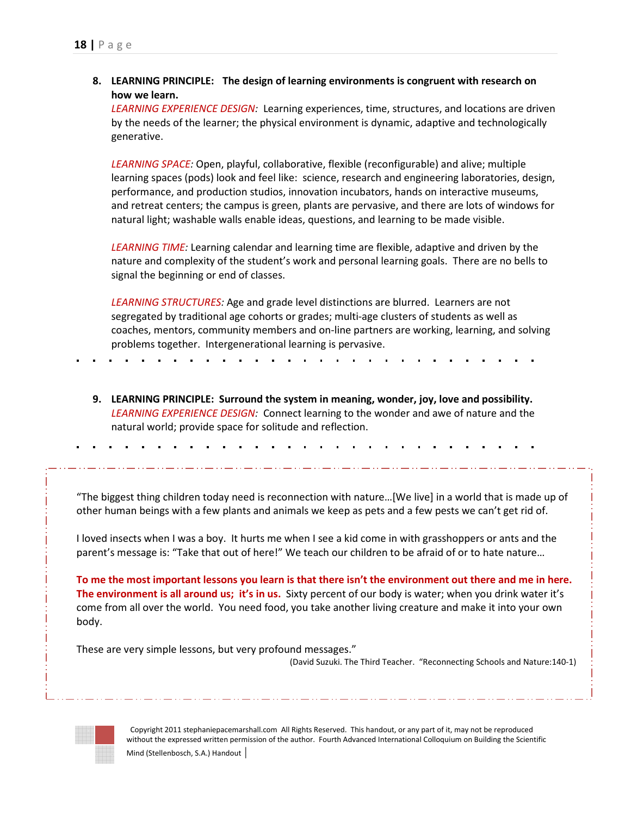**8. LEARNING PRINCIPLE: The design of learning environments is congruent with research on how we learn.** 

*LEARNING EXPERIENCE DESIGN:* Learning experiences, time, structures, and locations are driven by the needs of the learner; the physical environment is dynamic, adaptive and technologically generative.

*LEARNING SPACE:* Open, playful, collaborative, flexible (reconfigurable) and alive; multiple learning spaces (pods) look and feel like: science, research and engineering laboratories, design, performance, and production studios, innovation incubators, hands on interactive museums, and retreat centers; the campus is green, plants are pervasive, and there are lots of windows for natural light; washable walls enable ideas, questions, and learning to be made visible.

*LEARNING TIME:* Learning calendar and learning time are flexible, adaptive and driven by the nature and complexity of the student's work and personal learning goals. There are no bells to signal the beginning or end of classes.

*LEARNING STRUCTURES:* Age and grade level distinctions are blurred. Learners are not segregated by traditional age cohorts or grades; multi-age clusters of students as well as coaches, mentors, community members and on-line partners are working, learning, and solving problems together. Intergenerational learning is pervasive.

**9. LEARNING PRINCIPLE: Surround the system in meaning, wonder, joy, love and possibility.**  *LEARNING EXPERIENCE DESIGN:* Connect learning to the wonder and awe of nature and the natural world; provide space for solitude and reflection.

"The biggest thing children today need is reconnection with nature…[We live] in a world that is made up of other human beings with a few plants and animals we keep as pets and a few pests we can't get rid of.

I loved insects when I was a boy. It hurts me when I see a kid come in with grasshoppers or ants and the parent's message is: "Take that out of here!" We teach our children to be afraid of or to hate nature…

**To me the most important lessons you learn is that there isn't the environment out there and me in here. The environment is all around us; it's in us.** Sixty percent of our body is water; when you drink water it's come from all over the world. You need food, you take another living creature and make it into your own body.

These are very simple lessons, but very profound messages."

(David Suzuki. The Third Teacher. "Reconnecting Schools and Nature:140-1)

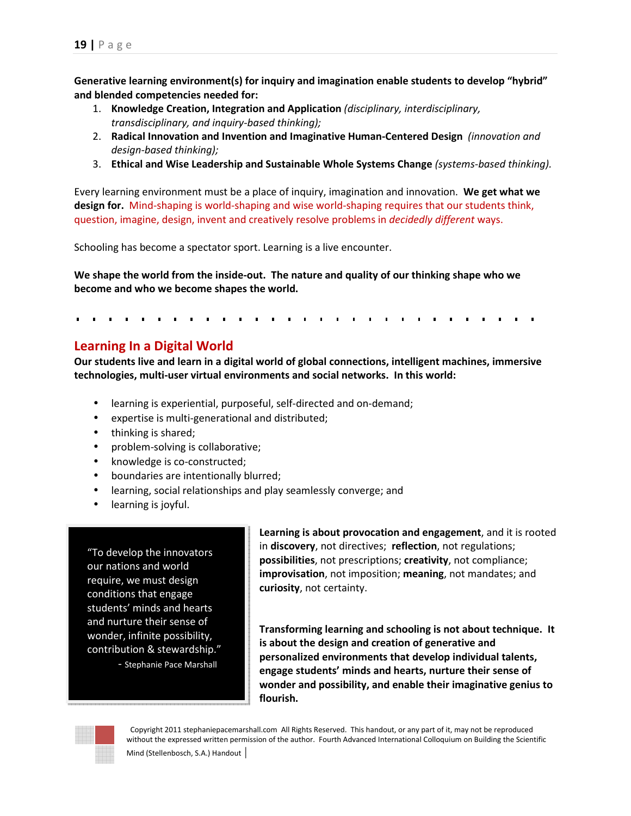**Generative learning environment(s) for inquiry and imagination enable students to develop "hybrid" and blended competencies needed for:** 

- 1. **Knowledge Creation, Integration and Application** *(disciplinary, interdisciplinary, transdisciplinary, and inquiry-based thinking);*
- 2. **Radical Innovation and Invention and Imaginative Human-Centered Design** *(innovation and design-based thinking);*
- 3. **Ethical and Wise Leadership and Sustainable Whole Systems Change** *(systems-based thinking).*

Every learning environment must be a place of inquiry, imagination and innovation. **We get what we design for.** Mind-shaping is world-shaping and wise world-shaping requires that our students think, question, imagine, design, invent and creatively resolve problems in *decidedly different* ways.

Schooling has become a spectator sport. Learning is a live encounter.

**We shape the world from the inside-out. The nature and quality of our thinking shape who we become and who we become shapes the world.** 

## **Learning In a Digital World**

**Our students live and learn in a digital world of global connections, intelligent machines, immersive technologies, multi-user virtual environments and social networks. In this world:** 

- learning is experiential, purposeful, self-directed and on-demand;
- expertise is multi-generational and distributed;
- thinking is shared;
- problem-solving is collaborative;
- knowledge is co-constructed;
- boundaries are intentionally blurred;
- learning, social relationships and play seamlessly converge; and
- learning is joyful.

"To develop the innovators our nations and world require, we must design conditions that engage students' minds and hearts and nurture their sense of wonder, infinite possibility, contribution & stewardship."

- Stephanie Pace Marshall

**Learning is about provocation and engagement**, and it is rooted in **discovery**, not directives; **reflection**, not regulations; **possibilities**, not prescriptions; **creativity**, not compliance; **improvisation**, not imposition; **meaning**, not mandates; and **curiosity**, not certainty.

**Transforming learning and schooling is not about technique. It is about the design and creation of generative and personalized environments that develop individual talents, engage students' minds and hearts, nurture their sense of wonder and possibility, and enable their imaginative genius to flourish.** 

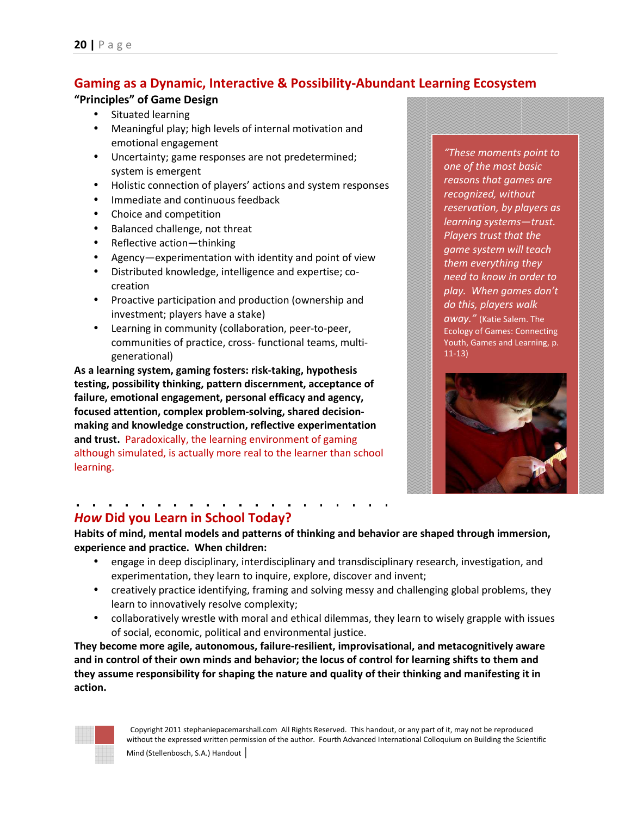## **Gaming as a Dynamic, Interactive & Possibility-Abundant Learning Ecosystem**

#### **"Principles" of Game Design**

- Situated learning
- Meaningful play; high levels of internal motivation and emotional engagement
- Uncertainty; game responses are not predetermined; system is emergent
- Holistic connection of players' actions and system responses
- Immediate and continuous feedback
- Choice and competition
- Balanced challenge, not threat
- Reflective action—thinking
- Agency—experimentation with identity and point of view
- Distributed knowledge, intelligence and expertise; cocreation
- Proactive participation and production (ownership and investment; players have a stake)
- Learning in community (collaboration, peer-to-peer, communities of practice, cross- functional teams, multigenerational)

**As a learning system, gaming fosters: risk-taking, hypothesis testing, possibility thinking, pattern discernment, acceptance of failure, emotional engagement, personal efficacy and agency, focused attention, complex problem-solving, shared decisionmaking and knowledge construction, reflective experimentation and trust.** Paradoxically, the learning environment of gaming although simulated, is actually more real to the learner than school learning.

*"These moments point to one of the most basic reasons that games are recognized, without reservation, by players as learning systems—trust. Players trust that the game system will teach them everything they need to know in order to play. When games don't do this, players walk away."* (Katie Salem. The Ecology of Games: Connecting Youth, Games and Learning, p. 11-13)



## *How* **Did you Learn in School Today?**

**Habits of mind, mental models and patterns of thinking and behavior are shaped through immersion, experience and practice. When children:** 

- engage in deep disciplinary, interdisciplinary and transdisciplinary research, investigation, and experimentation, they learn to inquire, explore, discover and invent;
- creatively practice identifying, framing and solving messy and challenging global problems, they learn to innovatively resolve complexity;
- collaboratively wrestle with moral and ethical dilemmas, they learn to wisely grapple with issues of social, economic, political and environmental justice.

**They become more agile, autonomous, failure-resilient, improvisational, and metacognitively aware and in control of their own minds and behavior; the locus of control for learning shifts to them and they assume responsibility for shaping the nature and quality of their thinking and manifesting it in action.** 

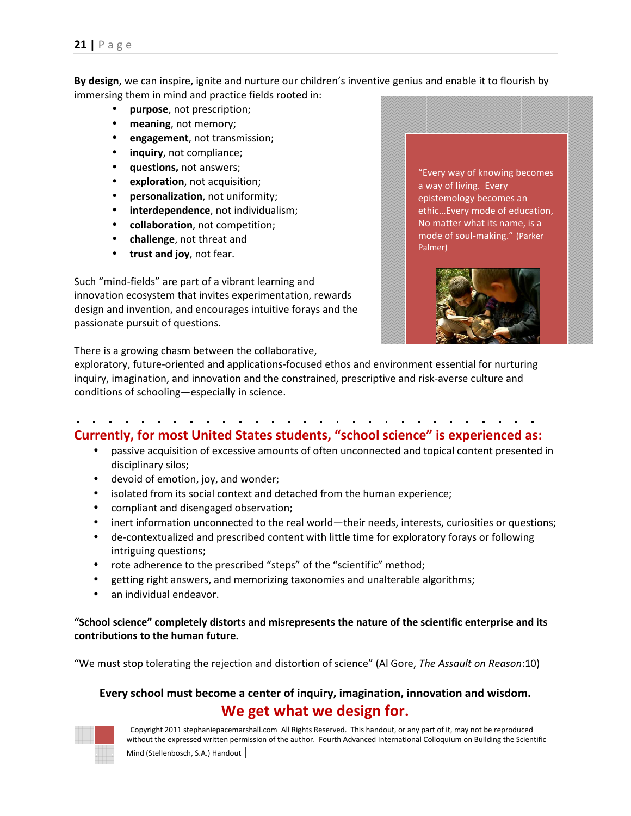**By design**, we can inspire, ignite and nurture our children's inventive genius and enable it to flourish by immersing them in mind and practice fields rooted in:

- **purpose**, not prescription;
- **meaning**, not memory;
- **engagement**, not transmission;
- **inquiry**, not compliance;
- **questions,** not answers;
- **exploration**, not acquisition;
- **personalization**, not uniformity;
- **interdependence**, not individualism;
- **collaboration**, not competition;
- **challenge**, not threat and
- **trust and joy**, not fear.

Such "mind-fields" are part of a vibrant learning and innovation ecosystem that invites experimentation, rewards design and invention, and encourages intuitive forays and the passionate pursuit of questions.

There is a growing chasm between the collaborative,

exploratory, future-oriented and applications-focused ethos and environment essential for nurturing inquiry, imagination, and innovation and the constrained, prescriptive and risk-averse culture and conditions of schooling—especially in science.

# **Currently, for most United States students, "school science" is experienced as:**

- passive acquisition of excessive amounts of often unconnected and topical content presented in disciplinary silos;
- devoid of emotion, joy, and wonder;
- isolated from its social context and detached from the human experience;
- compliant and disengaged observation;
- inert information unconnected to the real world—their needs, interests, curiosities or questions;
- de-contextualized and prescribed content with little time for exploratory forays or following intriguing questions;
- rote adherence to the prescribed "steps" of the "scientific" method;
- getting right answers, and memorizing taxonomies and unalterable algorithms;
- an individual endeavor.

#### **"School science" completely distorts and misrepresents the nature of the scientific enterprise and its contributions to the human future.**

"We must stop tolerating the rejection and distortion of science" (Al Gore, *The Assault on Reason*:10)

## **Every school must become a center of inquiry, imagination, innovation and wisdom. We get what we design for.**



 Copyright 2011 stephaniepacemarshall.com All Rights Reserved. This handout, or any part of it, may not be reproduced without the expressed written permission of the author. Fourth Advanced International Colloquium on Building the Scientific Mind (Stellenbosch, S.A.) Handout

"Every way of knowing becomes a way of living. Every epistemology becomes an ethic…Every mode of education, No matter what its name, is a mode of soul-making." (Parker Palmer)

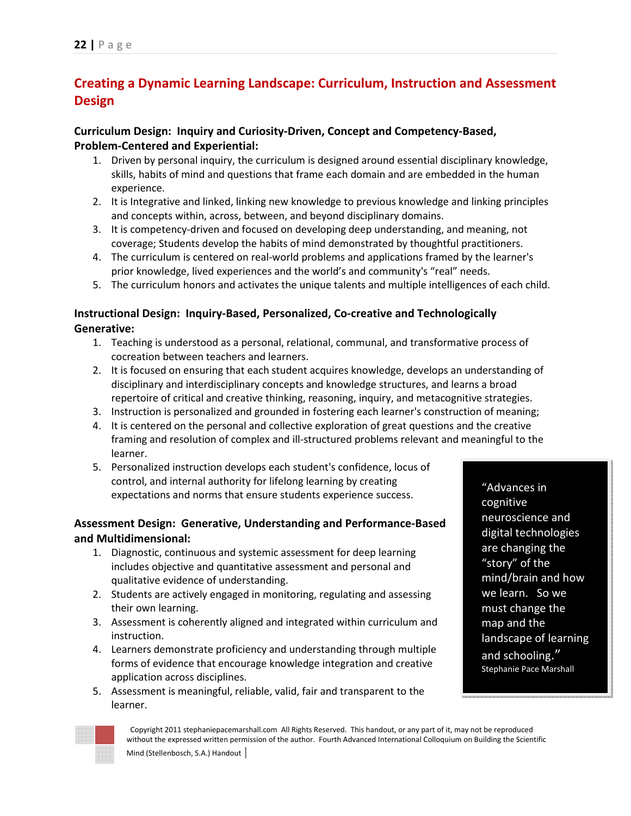## **Creating a Dynamic Learning Landscape: Curriculum, Instruction and Assessment Design**

## **Curriculum Design: Inquiry and Curiosity-Driven, Concept and Competency-Based, Problem-Centered and Experiential:**

- 1. Driven by personal inquiry, the curriculum is designed around essential disciplinary knowledge, skills, habits of mind and questions that frame each domain and are embedded in the human experience.
- 2. It is Integrative and linked, linking new knowledge to previous knowledge and linking principles and concepts within, across, between, and beyond disciplinary domains.
- 3. It is competency-driven and focused on developing deep understanding, and meaning, not coverage; Students develop the habits of mind demonstrated by thoughtful practitioners.
- 4. The curriculum is centered on real-world problems and applications framed by the learner's prior knowledge, lived experiences and the world's and community's "real" needs.
- 5. The curriculum honors and activates the unique talents and multiple intelligences of each child.

## **Instructional Design: Inquiry-Based, Personalized, Co-creative and Technologically Generative:**

- 1. Teaching is understood as a personal, relational, communal, and transformative process of cocreation between teachers and learners.
- 2. It is focused on ensuring that each student acquires knowledge, develops an understanding of disciplinary and interdisciplinary concepts and knowledge structures, and learns a broad repertoire of critical and creative thinking, reasoning, inquiry, and metacognitive strategies.
- 3. Instruction is personalized and grounded in fostering each learner's construction of meaning;
- 4. It is centered on the personal and collective exploration of great questions and the creative framing and resolution of complex and ill-structured problems relevant and meaningful to the learner.
- 5. Personalized instruction develops each student's confidence, locus of control, and internal authority for lifelong learning by creating expectations and norms that ensure students experience success.

## **Assessment Design: Generative, Understanding and Performance-Based and Multidimensional:**

- 1. Diagnostic, continuous and systemic assessment for deep learning includes objective and quantitative assessment and personal and qualitative evidence of understanding.
- 2. Students are actively engaged in monitoring, regulating and assessing their own learning.
- 3. Assessment is coherently aligned and integrated within curriculum and instruction.
- 4. Learners demonstrate proficiency and understanding through multiple forms of evidence that encourage knowledge integration and creative application across disciplines.
- 5. Assessment is meaningful, reliable, valid, fair and transparent to the learner.

"Advances in cognitive neuroscience and digital technologies are changing the "story" of the mind/brain and how we learn. So we must change the map and the landscape of learning and schooling." Stephanie Pace Marshall

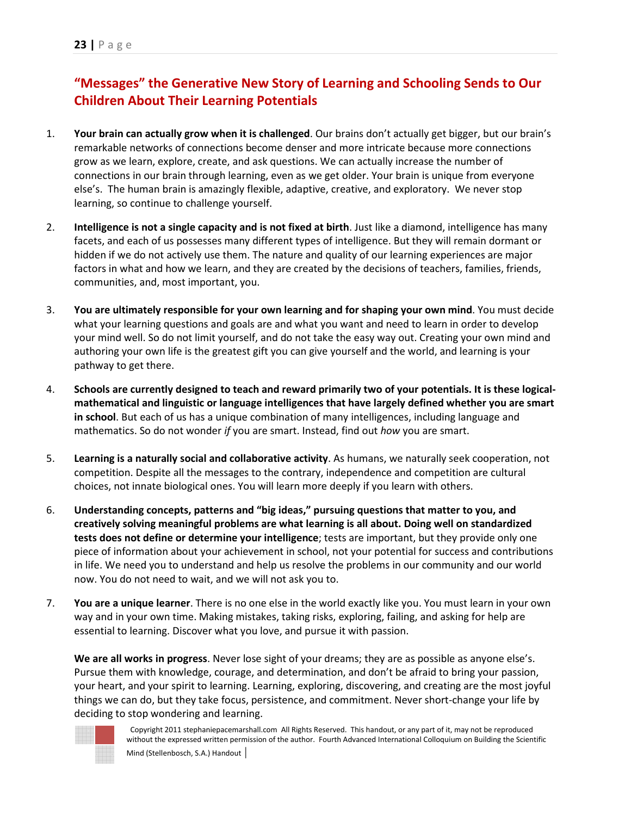## **"Messages" the Generative New Story of Learning and Schooling Sends to Our Children About Their Learning Potentials**

- 1. **Your brain can actually grow when it is challenged**. Our brains don't actually get bigger, but our brain's remarkable networks of connections become denser and more intricate because more connections grow as we learn, explore, create, and ask questions. We can actually increase the number of connections in our brain through learning, even as we get older. Your brain is unique from everyone else's. The human brain is amazingly flexible, adaptive, creative, and exploratory. We never stop learning, so continue to challenge yourself.
- 2. **Intelligence is not a single capacity and is not fixed at birth**. Just like a diamond, intelligence has many facets, and each of us possesses many different types of intelligence. But they will remain dormant or hidden if we do not actively use them. The nature and quality of our learning experiences are major factors in what and how we learn, and they are created by the decisions of teachers, families, friends, communities, and, most important, you.
- 3. **You are ultimately responsible for your own learning and for shaping your own mind**. You must decide what your learning questions and goals are and what you want and need to learn in order to develop your mind well. So do not limit yourself, and do not take the easy way out. Creating your own mind and authoring your own life is the greatest gift you can give yourself and the world, and learning is your pathway to get there.
- 4. **Schools are currently designed to teach and reward primarily two of your potentials. It is these logicalmathematical and linguistic or language intelligences that have largely defined whether you are smart in school**. But each of us has a unique combination of many intelligences, including language and mathematics. So do not wonder *if* you are smart. Instead, find out *how* you are smart.
- 5. **Learning is a naturally social and collaborative activity**. As humans, we naturally seek cooperation, not competition. Despite all the messages to the contrary, independence and competition are cultural choices, not innate biological ones. You will learn more deeply if you learn with others.
- 6. **Understanding concepts, patterns and "big ideas," pursuing questions that matter to you, and creatively solving meaningful problems are what learning is all about. Doing well on standardized tests does not define or determine your intelligence**; tests are important, but they provide only one piece of information about your achievement in school, not your potential for success and contributions in life. We need you to understand and help us resolve the problems in our community and our world now. You do not need to wait, and we will not ask you to.
- 7. **You are a unique learner**. There is no one else in the world exactly like you. You must learn in your own way and in your own time. Making mistakes, taking risks, exploring, failing, and asking for help are essential to learning. Discover what you love, and pursue it with passion.

**We are all works in progress**. Never lose sight of your dreams; they are as possible as anyone else's. Pursue them with knowledge, courage, and determination, and don't be afraid to bring your passion, your heart, and your spirit to learning. Learning, exploring, discovering, and creating are the most joyful things we can do, but they take focus, persistence, and commitment. Never short-change your life by deciding to stop wondering and learning.

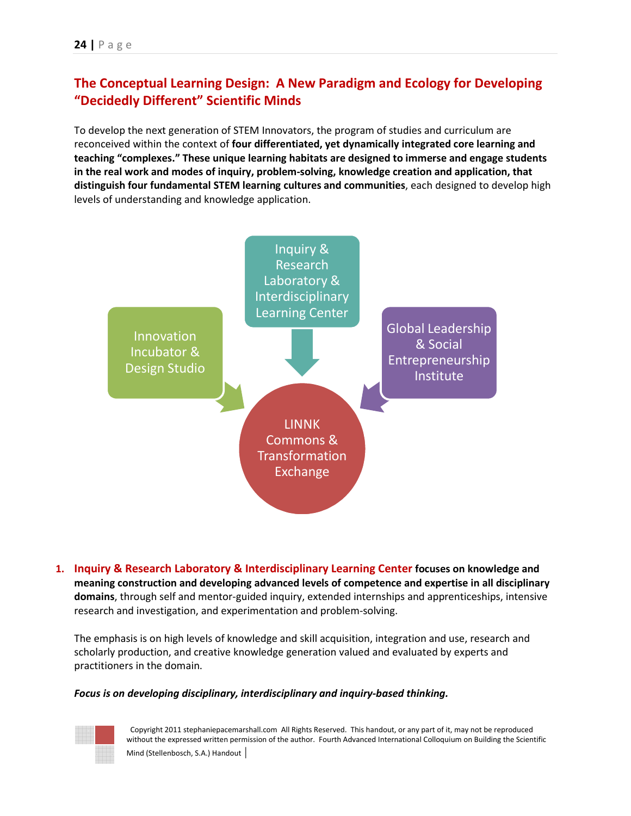## **The Conceptual Learning Design: A New Paradigm and Ecology for Developing "Decidedly Different" Scientific Minds**

To develop the next generation of STEM Innovators, the program of studies and curriculum are reconceived within the context of **four differentiated, yet dynamically integrated core learning and teaching "complexes." These unique learning habitats are designed to immerse and engage students in the real work and modes of inquiry, problem-solving, knowledge creation and application, that distinguish four fundamental STEM learning cultures and communities**, each designed to develop high levels of understanding and knowledge application.



**1. Inquiry & Research Laboratory & Interdisciplinary Learning Center focuses on knowledge and meaning construction and developing advanced levels of competence and expertise in all disciplinary domains**, through self and mentor-guided inquiry, extended internships and apprenticeships, intensive research and investigation, and experimentation and problem-solving.

The emphasis is on high levels of knowledge and skill acquisition, integration and use, research and scholarly production, and creative knowledge generation valued and evaluated by experts and practitioners in the domain.

#### *Focus is on developing disciplinary, interdisciplinary and inquiry-based thinking.*

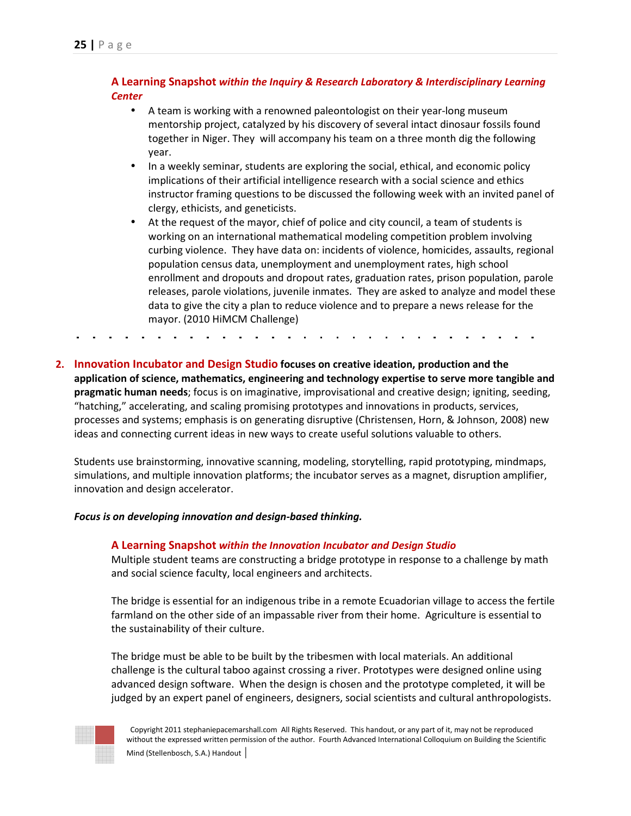#### **A Learning Snapshot** *within the Inquiry & Research Laboratory & Interdisciplinary Learning Center*

- A team is working with a renowned paleontologist on their year-long museum mentorship project, catalyzed by his discovery of several intact dinosaur fossils found together in Niger. They will accompany his team on a three month dig the following year.
- In a weekly seminar, students are exploring the social, ethical, and economic policy implications of their artificial intelligence research with a social science and ethics instructor framing questions to be discussed the following week with an invited panel of clergy, ethicists, and geneticists.
- At the request of the mayor, chief of police and city council, a team of students is working on an international mathematical modeling competition problem involving curbing violence. They have data on: incidents of violence, homicides, assaults, regional population census data, unemployment and unemployment rates, high school enrollment and dropouts and dropout rates, graduation rates, prison population, parole releases, parole violations, juvenile inmates. They are asked to analyze and model these data to give the city a plan to reduce violence and to prepare a news release for the mayor. (2010 HiMCM Challenge)

**2. Innovation Incubator and Design Studio focuses on creative ideation, production and the application of science, mathematics, engineering and technology expertise to serve more tangible and pragmatic human needs**; focus is on imaginative, improvisational and creative design; igniting, seeding, "hatching," accelerating, and scaling promising prototypes and innovations in products, services, processes and systems; emphasis is on generating disruptive (Christensen, Horn, & Johnson, 2008) new ideas and connecting current ideas in new ways to create useful solutions valuable to others.

Students use brainstorming, innovative scanning, modeling, storytelling, rapid prototyping, mindmaps, simulations, and multiple innovation platforms; the incubator serves as a magnet, disruption amplifier, innovation and design accelerator.

#### *Focus is on developing innovation and design-based thinking.*

#### **A Learning Snapshot** *within the Innovation Incubator and Design Studio*

Multiple student teams are constructing a bridge prototype in response to a challenge by math and social science faculty, local engineers and architects.

The bridge is essential for an indigenous tribe in a remote Ecuadorian village to access the fertile farmland on the other side of an impassable river from their home. Agriculture is essential to the sustainability of their culture.

The bridge must be able to be built by the tribesmen with local materials. An additional challenge is the cultural taboo against crossing a river. Prototypes were designed online using advanced design software. When the design is chosen and the prototype completed, it will be judged by an expert panel of engineers, designers, social scientists and cultural anthropologists.

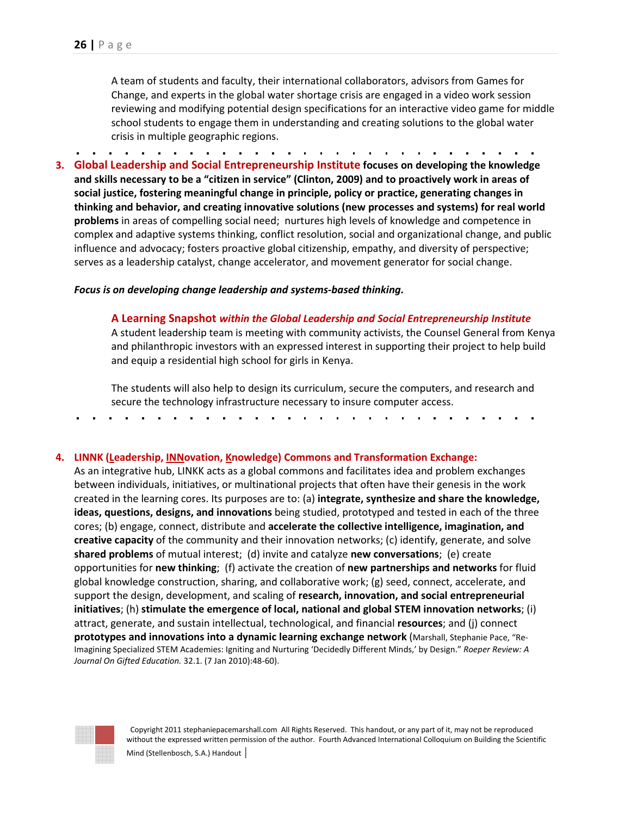A team of students and faculty, their international collaborators, advisors from Games for Change, and experts in the global water shortage crisis are engaged in a video work session reviewing and modifying potential design specifications for an interactive video game for middle school students to engage them in understanding and creating solutions to the global water crisis in multiple geographic regions.

**3. Global Leadership and Social Entrepreneurship Institute focuses on developing the knowledge and skills necessary to be a "citizen in service" (Clinton, 2009) and to proactively work in areas of social justice, fostering meaningful change in principle, policy or practice, generating changes in thinking and behavior, and creating innovative solutions (new processes and systems) for real world problems** in areas of compelling social need; nurtures high levels of knowledge and competence in complex and adaptive systems thinking, conflict resolution, social and organizational change, and public influence and advocacy; fosters proactive global citizenship, empathy, and diversity of perspective; serves as a leadership catalyst, change accelerator, and movement generator for social change.

*Focus is on developing change leadership and systems-based thinking.*

**A Learning Snapshot** *within the Global Leadership and Social Entrepreneurship Institute* A student leadership team is meeting with community activists, the Counsel General from Kenya and philanthropic investors with an expressed interest in supporting their project to help build and equip a residential high school for girls in Kenya.

The students will also help to design its curriculum, secure the computers, and research and secure the technology infrastructure necessary to insure computer access.

#### **4. LINNK (Leadership, INNovation, Knowledge) Commons and Transformation Exchange:**

 As an integrative hub, LINKK acts as a global commons and facilitates idea and problem exchanges between individuals, initiatives, or multinational projects that often have their genesis in the work created in the learning cores. Its purposes are to: (a) **integrate, synthesize and share the knowledge, ideas, questions, designs, and innovations** being studied, prototyped and tested in each of the three cores; (b) engage, connect, distribute and **accelerate the collective intelligence, imagination, and creative capacity** of the community and their innovation networks; (c) identify, generate, and solve **shared problems** of mutual interest; (d) invite and catalyze **new conversations**; (e) create opportunities for **new thinking**; (f) activate the creation of **new partnerships and networks** for fluid global knowledge construction, sharing, and collaborative work; (g) seed, connect, accelerate, and support the design, development, and scaling of **research, innovation, and social entrepreneurial initiatives**; (h) **stimulate the emergence of local, national and global STEM innovation networks**; (i) attract, generate, and sustain intellectual, technological, and financial **resources**; and (j) connect **prototypes and innovations into a dynamic learning exchange network** (Marshall, Stephanie Pace, "Re-Imagining Specialized STEM Academies: Igniting and Nurturing 'Decidedly Different Minds,' by Design." *Roeper Review: A Journal On Gifted Education.* 32.1. (7 Jan 2010):48-60).

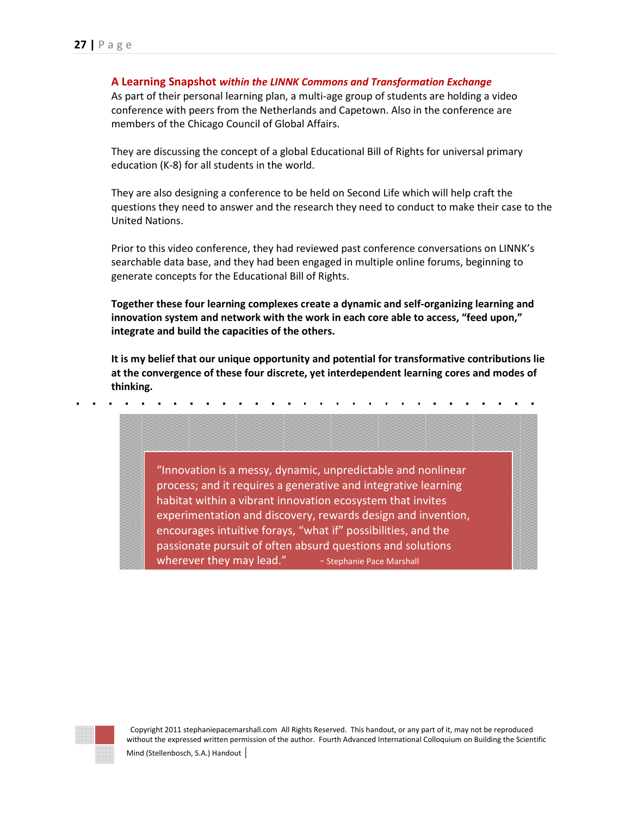#### **A Learning Snapshot** *within the LINNK Commons and Transformation Exchange*

As part of their personal learning plan, a multi-age group of students are holding a video conference with peers from the Netherlands and Capetown. Also in the conference are members of the Chicago Council of Global Affairs.

They are discussing the concept of a global Educational Bill of Rights for universal primary education (K-8) for all students in the world.

They are also designing a conference to be held on Second Life which will help craft the questions they need to answer and the research they need to conduct to make their case to the United Nations.

Prior to this video conference, they had reviewed past conference conversations on LINNK's searchable data base, and they had been engaged in multiple online forums, beginning to generate concepts for the Educational Bill of Rights.

**Together these four learning complexes create a dynamic and self-organizing learning and innovation system and network with the work in each core able to access, "feed upon," integrate and build the capacities of the others.** 

**It is my belief that our unique opportunity and potential for transformative contributions lie at the convergence of these four discrete, yet interdependent learning cores and modes of thinking.** 



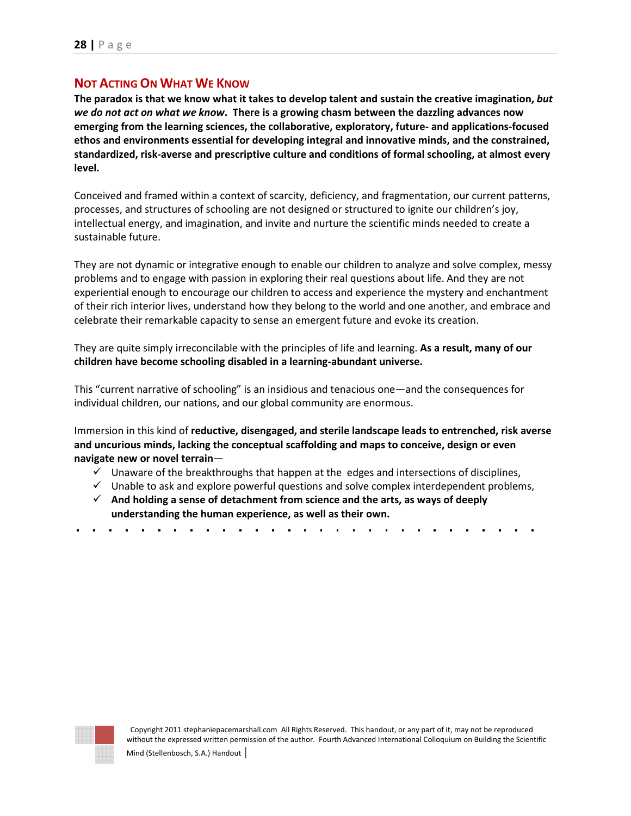## **NOT ACTING ON WHAT WE KNOW**

**The paradox is that we know what it takes to develop talent and sustain the creative imagination,** *but we do not act on what we know***. There is a growing chasm between the dazzling advances now emerging from the learning sciences, the collaborative, exploratory, future- and applications-focused ethos and environments essential for developing integral and innovative minds, and the constrained, standardized, risk-averse and prescriptive culture and conditions of formal schooling, at almost every level.** 

Conceived and framed within a context of scarcity, deficiency, and fragmentation, our current patterns, processes, and structures of schooling are not designed or structured to ignite our children's joy, intellectual energy, and imagination, and invite and nurture the scientific minds needed to create a sustainable future.

They are not dynamic or integrative enough to enable our children to analyze and solve complex, messy problems and to engage with passion in exploring their real questions about life. And they are not experiential enough to encourage our children to access and experience the mystery and enchantment of their rich interior lives, understand how they belong to the world and one another, and embrace and celebrate their remarkable capacity to sense an emergent future and evoke its creation.

They are quite simply irreconcilable with the principles of life and learning. **As a result, many of our children have become schooling disabled in a learning-abundant universe.**

This "current narrative of schooling" is an insidious and tenacious one—and the consequences for individual children, our nations, and our global community are enormous.

Immersion in this kind of **reductive, disengaged, and sterile landscape leads to entrenched, risk averse and uncurious minds, lacking the conceptual scaffolding and maps to conceive, design or even navigate new or novel terrain**—

- $\checkmark$  Unaware of the breakthroughs that happen at the edges and intersections of disciplines,
- $\checkmark$  Unable to ask and explore powerful questions and solve complex interdependent problems,
- **And holding a sense of detachment from science and the arts, as ways of deeply understanding the human experience, as well as their own.**
- 

| ٠<br>í<br>۹<br>۱<br>э | ٠<br>i<br>٠<br>× | i<br>٠<br>i<br>٠<br>¥<br>ö | ×           |                            |                            |                  |                  |        |
|-----------------------|------------------|----------------------------|-------------|----------------------------|----------------------------|------------------|------------------|--------|
| ۹<br>8<br>۹<br>ż      | ë<br>×<br>ş      | ×                          | 8<br>٠<br>ë |                            |                            |                  |                  |        |
| 8<br>×<br>٠           | ×                | ī<br>٠                     | ×           |                            |                            |                  |                  |        |
| 8                     | 8<br>8           | 8                          | ×           |                            |                            |                  |                  |        |
| ۹<br>l<br>×<br>٠      | ۰<br>ë           | k<br>×<br>۰                | ĭ<br>۹<br>٠ |                            |                            |                  |                  |        |
|                       |                  |                            |             |                            |                            |                  |                  |        |
|                       |                  |                            |             | R                          | ×<br>x<br>×                | x                | x<br>x           |        |
|                       |                  |                            |             | ٠<br>٠<br>٠<br>×           | ٠<br>ž<br>×                | ٠<br>۰           | ٠<br>ĕ<br>×      | ٠<br>ş |
|                       |                  |                            |             | ٠<br>٠<br>۰<br>8           | ٠<br>×                     | z<br>۰           | ٠<br>×           | ł      |
|                       |                  |                            |             | ń<br>٠<br>٠<br>۱<br>ź<br>Ń | ٠<br>٠<br>۰<br>x<br>x<br>× | ٠<br>٠<br>۰<br>× | ٠<br>۰<br>x<br>× | ۰      |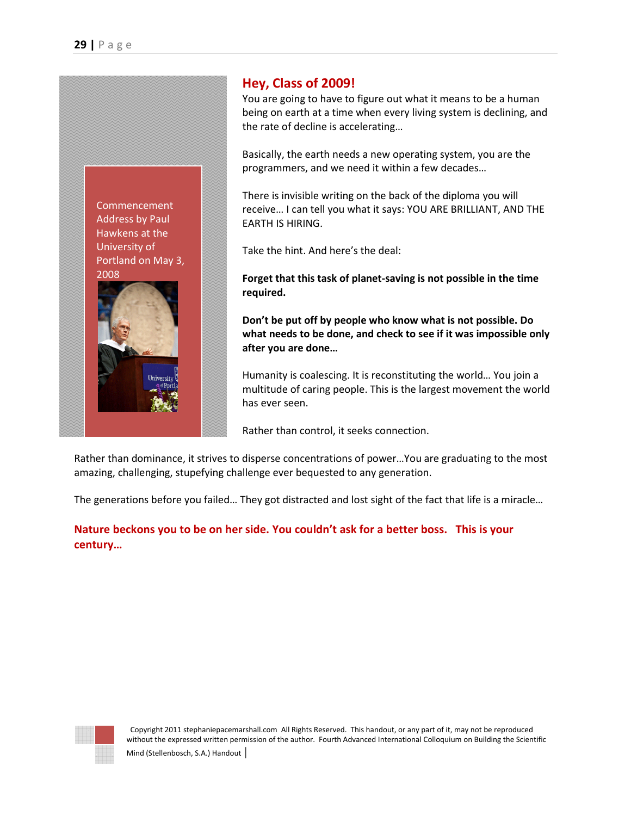

## **Hey, Class of 2009!**

You are going to have to figure out what it means to be a human being on earth at a time when every living system is declining, and the rate of decline is accelerating…

Basically, the earth needs a new operating system, you are the programmers, and we need it within a few decades…

There is invisible writing on the back of the diploma you will receive… I can tell you what it says: YOU ARE BRILLIANT, AND THE EARTH IS HIRING.

Take the hint. And here's the deal:

**Forget that this task of planet-saving is not possible in the time required.** 

**Don't be put off by people who know what is not possible. Do what needs to be done, and check to see if it was impossible only after you are done…** 

Humanity is coalescing. It is reconstituting the world… You join a multitude of caring people. This is the largest movement the world has ever seen.

Rather than control, it seeks connection.

Rather than dominance, it strives to disperse concentrations of power…You are graduating to the most amazing, challenging, stupefying challenge ever bequested to any generation.

The generations before you failed… They got distracted and lost sight of the fact that life is a miracle…

**Nature beckons you to be on her side. You couldn't ask for a better boss. This is your century…** 

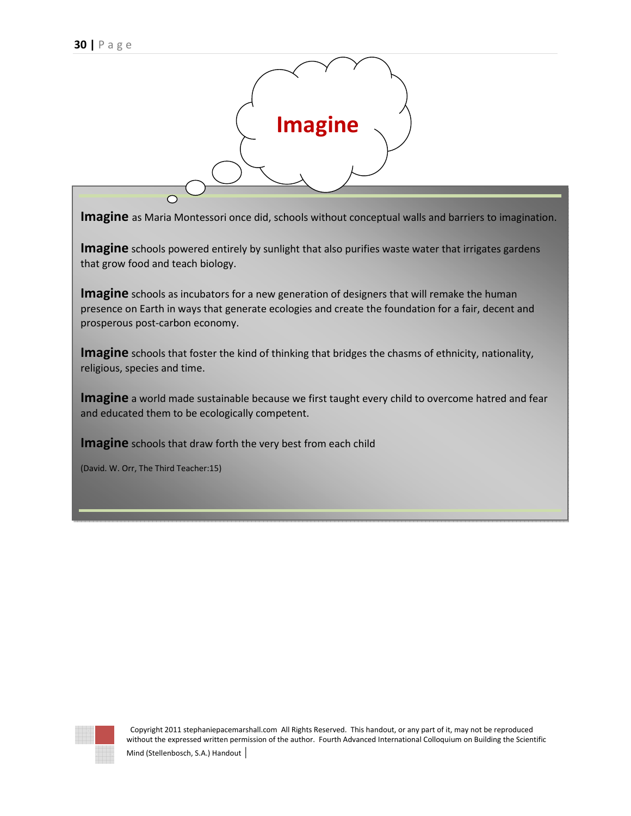

**Imagine** as Maria Montessori once did, schools without conceptual walls and barriers to imagination.

**Imagine** schools powered entirely by sunlight that also purifies waste water that irrigates gardens that grow food and teach biology.

**Imagine** schools as incubators for a new generation of designers that will remake the human presence on Earth in ways that generate ecologies and create the foundation for a fair, decent and prosperous post-carbon economy.

**Imagine** schools that foster the kind of thinking that bridges the chasms of ethnicity, nationality, religious, species and time.

**Imagine** a world made sustainable because we first taught every child to overcome hatred and fear and educated them to be ecologically competent.

**Imagine** schools that draw forth the very best from each child

(David. W. Orr, The Third Teacher:15)

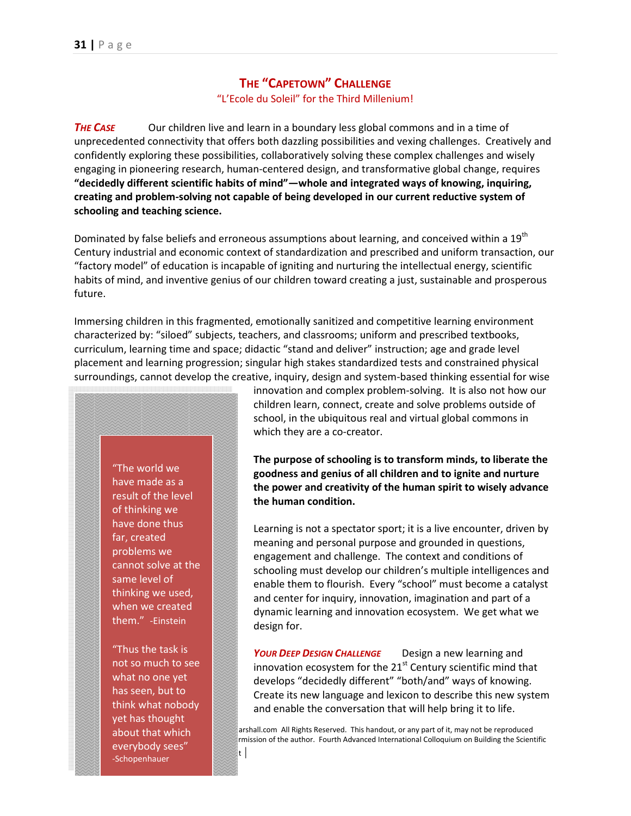## **THE "CAPETOWN" CHALLENGE**

"L'Ecole du Soleil" for the Third Millenium!

**THE CASE** Our children live and learn in a boundary less global commons and in a time of unprecedented connectivity that offers both dazzling possibilities and vexing challenges. Creatively and confidently exploring these possibilities, collaboratively solving these complex challenges and wisely engaging in pioneering research, human-centered design, and transformative global change, requires **"decidedly different scientific habits of mind"—whole and integrated ways of knowing, inquiring, creating and problem-solving not capable of being developed in our current reductive system of schooling and teaching science.** 

Dominated by false beliefs and erroneous assumptions about learning, and conceived within a 19<sup>th</sup> Century industrial and economic context of standardization and prescribed and uniform transaction, our "factory model" of education is incapable of igniting and nurturing the intellectual energy, scientific habits of mind, and inventive genius of our children toward creating a just, sustainable and prosperous future.

Immersing children in this fragmented, emotionally sanitized and competitive learning environment characterized by: "siloed" subjects, teachers, and classrooms; uniform and prescribed textbooks, curriculum, learning time and space; didactic "stand and deliver" instruction; age and grade level placement and learning progression; singular high stakes standardized tests and constrained physical surroundings, cannot develop the creative, inquiry, design and system-based thinking essential for wise

"The world we have made as a result of the level of thinking we have done thus far, created problems we cannot solve at the same level of thinking we used, when we created them." -Einstein

 $\frac{1}{\sqrt{1-\frac{1}{\sqrt{1-\frac{1}{\sqrt{1-\frac{1}{\sqrt{1-\frac{1}{\sqrt{1-\frac{1}{\sqrt{1-\frac{1}{\sqrt{1-\frac{1}{\sqrt{1-\frac{1}{\sqrt{1-\frac{1}{\sqrt{1-\frac{1}{\sqrt{1-\frac{1}{\sqrt{1-\frac{1}{\sqrt{1-\frac{1}{\sqrt{1-\frac{1}{\sqrt{1-\frac{1}{\sqrt{1-\frac{1}{\sqrt{1-\frac{1}{\sqrt{1-\frac{1}{\sqrt{1-\frac{1}{\sqrt{1-\frac{1}{\sqrt{1-\frac{1}{\sqrt{1-\frac{1}{\sqrt{1-\frac{1}{\sqrt{1-\frac{1$ "Thus the task is not so much to see what no one yet has seen, but to think what nobody yet has thought about that which -Schopenhauer

innovation and complex problem-solving. It is also not how our children learn, connect, create and solve problems outside of school, in the ubiquitous real and virtual global commons in which they are a co-creator.

**The purpose of schooling is to transform minds, to liberate the goodness and genius of all children and to ignite and nurture the power and creativity of the human spirit to wisely advance the human condition.** 

Learning is not a spectator sport; it is a live encounter, driven by meaning and personal purpose and grounded in questions, engagement and challenge. The context and conditions of schooling must develop our children's multiple intelligences and enable them to flourish. Every "school" must become a catalyst and center for inquiry, innovation, imagination and part of a dynamic learning and innovation ecosystem. We get what we design for.

*YOUR DEEP DESIGN CHALLENGE*Design a new learning and innovation ecosystem for the  $21<sup>st</sup>$  Century scientific mind that develops "decidedly different" "both/and" ways of knowing. Create its new language and lexicon to describe this new system and enable the conversation that will help bring it to life.

arshall.com All Rights Reserved. This handout, or any part of it, may not be reproduced rmission of the author. Fourth Advanced International Colloquium on Building the Scientific